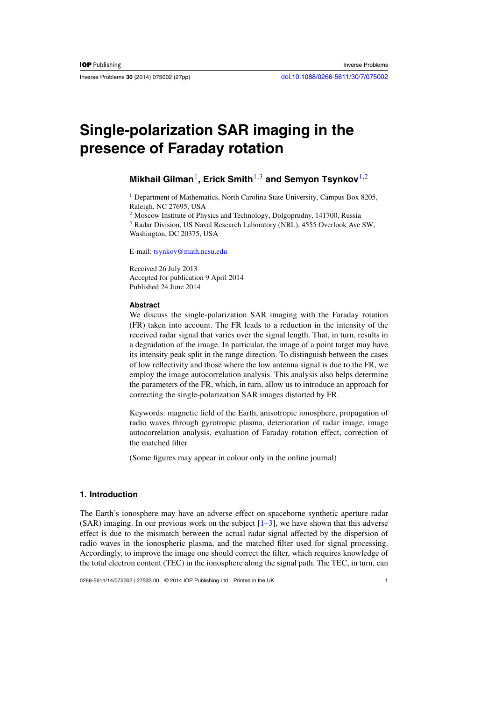<span id="page-0-0"></span>

# **Single-polarization SAR imaging in the presence of Faraday rotation**

## **Mikhail Gilman**1**, Erick Smith**1,3 **and Semyon Tsynkov**1,2

<sup>1</sup> Department of Mathematics, North Carolina State University, Campus Box 8205, Raleigh, NC 27695, USA

<sup>2</sup> Moscow Institute of Physics and Technology, Dolgoprudny, 141700, Russia

<sup>3</sup> Radar Division, US Naval Research Laboratory (NRL), 4555 Overlook Ave SW, Washington, DC 20375, USA

E-mail: [tsynkov@math.ncsu.edu](mailto:tsynkov@math.ncsu.edu)

Received 26 July 2013 Accepted for publication 9 April 2014 Published 24 June 2014

### **Abstract**

We discuss the single-polarization SAR imaging with the Faraday rotation (FR) taken into account. The FR leads to a reduction in the intensity of the received radar signal that varies over the signal length. That, in turn, results in a degradation of the image. In particular, the image of a point target may have its intensity peak split in the range direction. To distinguish between the cases of low reflectivity and those where the low antenna signal is due to the FR, we employ the image autocorrelation analysis. This analysis also helps determine the parameters of the FR, which, in turn, allow us to introduce an approach for correcting the single-polarization SAR images distorted by FR.

Keywords: magnetic field of the Earth, anisotropic ionosphere, propagation of radio waves through gyrotropic plasma, deterioration of radar image, image autocorrelation analysis, evaluation of Faraday rotation effect, correction of the matched filter

(Some figures may appear in colour only in the online journal)

## **1. Introduction**

The Earth's ionosphere may have an adverse effect on spaceborne synthetic aperture radar  $(SAR)$  imaging. In our previous work on the subject  $[1-3]$ , we have shown that this adverse effect is due to the mismatch between the actual radar signal affected by the dispersion of radio waves in the ionospheric plasma, and the matched filter used for signal processing. Accordingly, to improve the image one should correct the filter, which requires knowledge of the total electron content (TEC) in the ionosphere along the signal path. The TEC, in turn, can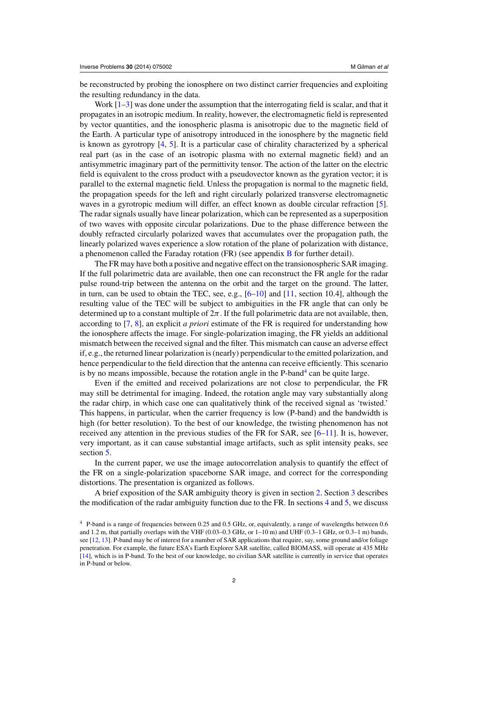be reconstructed by probing the ionosphere on two distinct carrier frequencies and exploiting the resulting redundancy in the data.

Work  $[1-3]$  was done under the assumption that the interrogating field is scalar, and that it propagates in an isotropic medium. In reality, however, the electromagnetic field is represented by vector quantities, and the ionospheric plasma is anisotropic due to the magnetic field of the Earth. A particular type of anisotropy introduced in the ionosphere by the magnetic field is known as gyrotropy [\[4,](#page-25-0) [5\]](#page-25-0). It is a particular case of chirality characterized by a spherical real part (as in the case of an isotropic plasma with no external magnetic field) and an antisymmetric imaginary part of the permittivity tensor. The action of the latter on the electric field is equivalent to the cross product with a pseudovector known as the gyration vector; it is parallel to the external magnetic field. Unless the propagation is normal to the magnetic field, the propagation speeds for the left and right circularly polarized transverse electromagnetic waves in a gyrotropic medium will differ, an effect known as double circular refraction [\[5\]](#page-25-0). The radar signals usually have linear polarization, which can be represented as a superposition of two waves with opposite circular polarizations. Due to the phase difference between the doubly refracted circularly polarized waves that accumulates over the propagation path, the linearly polarized waves experience a slow rotation of the plane of polarization with distance, a phenomenon called the Faraday rotation (FR) (see appendix [B](#page-19-0) for further detail).

The FR may have both a positive and negative effect on the transionospheric SAR imaging. If the full polarimetric data are available, then one can reconstruct the FR angle for the radar pulse round-trip between the antenna on the orbit and the target on the ground. The latter, in turn, can be used to obtain the TEC, see, e.g.,  $[6-10]$  and  $[11$ , section 10.4], although the resulting value of the TEC will be subject to ambiguities in the FR angle that can only be determined up to a constant multiple of  $2\pi$ . If the full polarimetric data are not available, then, according to [\[7,](#page-25-0) [8\]](#page-25-0), an explicit *a priori* estimate of the FR is required for understanding how the ionosphere affects the image. For single-polarization imaging, the FR yields an additional mismatch between the received signal and the filter. This mismatch can cause an adverse effect if, e.g., the returned linear polarization is (nearly) perpendicular to the emitted polarization, and hence perpendicular to the field direction that the antenna can receive efficiently. This scenario is by no means impossible, because the rotation angle in the  $P$ -band<sup>4</sup> can be quite large.

Even if the emitted and received polarizations are not close to perpendicular, the FR may still be detrimental for imaging. Indeed, the rotation angle may vary substantially along the radar chirp, in which case one can qualitatively think of the received signal as 'twisted.' This happens, in particular, when the carrier frequency is low (P-band) and the bandwidth is high (for better resolution). To the best of our knowledge, the twisting phenomenon has not received any attention in the previous studies of the FR for SAR, see  $[6-11]$ . It is, however, very important, as it can cause substantial image artifacts, such as split intensity peaks, see section [5.](#page-9-0)

In the current paper, we use the image autocorrelation analysis to quantify the effect of the FR on a single-polarization spaceborne SAR image, and correct for the corresponding distortions. The presentation is organized as follows.

A brief exposition of the SAR ambiguity theory is given in section [2.](#page-2-0) Section [3](#page-5-0) describes the modification of the radar ambiguity function due to the FR. In sections [4](#page-8-0) and [5,](#page-9-0) we discuss

<sup>4</sup> P-band is a range of frequencies between 0.25 and 0.5 GHz, or, equivalently, a range of wavelengths between 0.6 and 1.2 m, that partially overlaps with the VHF (0.03–0.3 GHz, or 1–10 m) and UHF (0.3–1 GHz, or 0.3–1 m) bands, see [\[12](#page-25-0), [13\]](#page-25-0). P-band may be of interest for a number of SAR applications that require, say, some ground and/or foliage penetration. For example, the future ESA's Earth Explorer SAR satellite, called BIOMASS, will operate at 435 MHz [\[14\]](#page-25-0), which is in P-band. To the best of our knowledge, no civilian SAR satellite is currently in service that operates in P-band or below.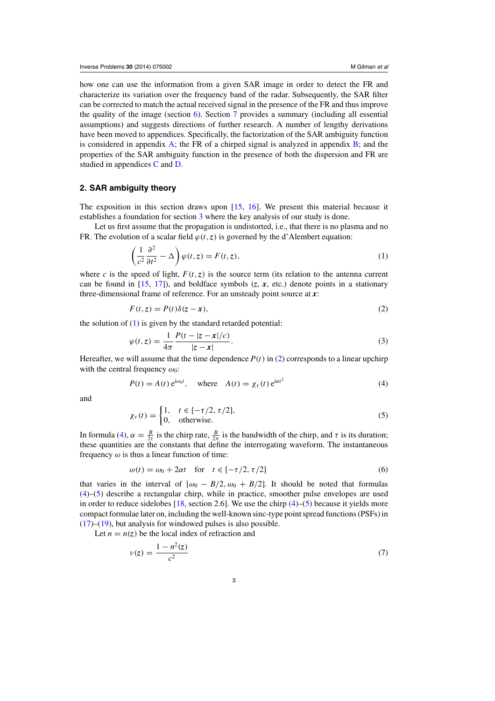<span id="page-2-0"></span>how one can use the information from a given SAR image in order to detect the FR and characterize its variation over the frequency band of the radar. Subsequently, the SAR filter can be corrected to match the actual received signal in the presence of the FR and thus improve the quality of the image (section  $6$ ). Section [7](#page-13-0) provides a summary (including all essential assumptions) and suggests directions of further research. A number of lengthy derivations have been moved to appendices. Specifically, the factorization of the SAR ambiguity function is considered in appendix  $\overline{A}$ ; the FR of a chirped signal is analyzed in appendix  $\overline{B}$ ; and the properties of the SAR ambiguity function in the presence of both the dispersion and FR are studied in appendices [C](#page-22-0) and [D.](#page-24-0)

### **2. SAR ambiguity theory**

The exposition in this section draws upon  $[15, 16]$  $[15, 16]$  $[15, 16]$  $[15, 16]$ . We present this material because it establishes a foundation for section [3](#page-5-0) where the key analysis of our study is done.

Let us first assume that the propagation is undistorted, i.e., that there is no plasma and no FR. The evolution of a scalar field  $\varphi(t, z)$  is governed by the d'Alembert equation:

$$
\left(\frac{1}{c^2}\frac{\partial^2}{\partial t^2} - \Delta\right)\varphi(t, z) = F(t, z),\tag{1}
$$

where *c* is the speed of light,  $F(t, z)$  is the source term (its relation to the antenna current can be found in  $[15, 17]$  $[15, 17]$  $[15, 17]$ ), and boldface symbols  $(z, x, \text{ etc.})$  denote points in a stationary three-dimensional frame of reference. For an unsteady point source at *x*:

$$
F(t, z) = P(t)\delta(z - x),\tag{2}
$$

the solution of  $(1)$  is given by the standard retarded potential:

$$
\varphi(t, z) = \frac{1}{4\pi} \frac{P(t - |z - x|/c)}{|z - x|}.
$$
\n(3)

Hereafter, we will assume that the time dependence  $P(t)$  in (2) corresponds to a linear upchirp with the central frequency  $\omega_0$ :

$$
P(t) = A(t) e^{i\omega_0 t}, \quad \text{where} \quad A(t) = \chi_\tau(t) e^{i\alpha t^2}
$$
 (4)

and

$$
\chi_{\tau}(t) = \begin{cases} 1, & t \in [-\tau/2, \tau/2], \\ 0, & \text{otherwise.} \end{cases}
$$
 (5)

In formula (4),  $\alpha = \frac{B}{2\tau}$  is the chirp rate,  $\frac{B}{2\pi}$  is the bandwidth of the chirp, and  $\tau$  is its duration; these quantities are the constants that define the interrogating waveform. The instantaneous frequency  $\omega$  is thus a linear function of time:

$$
\omega(t) = \omega_0 + 2\alpha t \quad \text{for} \quad t \in [-\tau/2, \tau/2] \tag{6}
$$

that varies in the interval of  $[\omega_0 - B/2, \omega_0 + B/2]$ . It should be noted that formulas (4)–(5) describe a rectangular chirp, while in practice, smoother pulse envelopes are used in order to reduce sidelobes [\[18,](#page-26-0) section 2.6]. We use the chirp  $(4)$ –(5) because it yields more compact formulae later on, including the well-known sinc-type point spread functions (PSFs) in  $(17)$ – $(19)$ , but analysis for windowed pulses is also possible.

Let  $n = n(z)$  be the local index of refraction and

$$
v(z) = \frac{1 - n^2(z)}{c^2}
$$
 (7)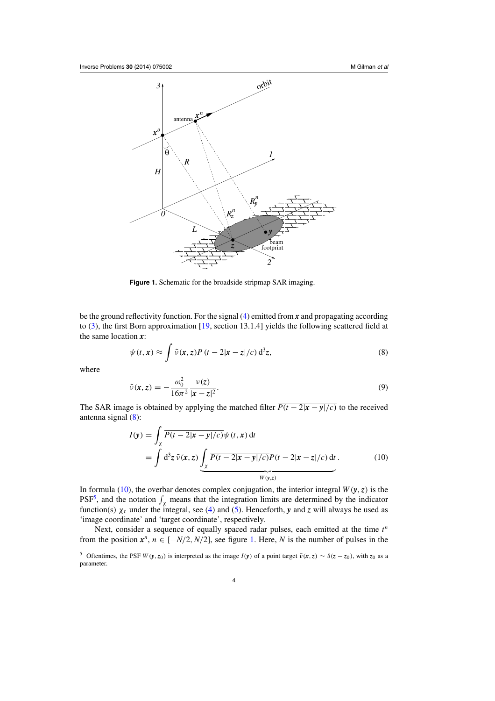<span id="page-3-0"></span>

**Figure 1.** Schematic for the broadside stripmap SAR imaging.

be the ground reflectivity function. For the signal [\(4\)](#page-2-0) emitted from *x* and propagating according to [\(3\)](#page-2-0), the first Born approximation [\[19](#page-26-0), section 13.1.4] yields the following scattered field at the same location *x*:

$$
\psi(t, \mathbf{x}) \approx \int \tilde{\nu}(\mathbf{x}, z) P(t - 2|\mathbf{x} - z|/c) d^3 z,
$$
\n(8)

where

$$
\tilde{\nu}(\mathbf{x}, z) = -\frac{\omega_0^2}{16\pi^2} \frac{\nu(z)}{|\mathbf{x} - z|^2}.
$$
\n(9)

The SAR image is obtained by applying the matched filter  $\overline{P(t-2|x-y|/c)}$  to the received antenna signal (8):

$$
I(\mathbf{y}) = \int_{\chi} \overline{P(t - 2|\mathbf{x} - \mathbf{y}|/c)} \psi(t, \mathbf{x}) dt
$$
  
= 
$$
\int d^3 z \tilde{\nu}(\mathbf{x}, z) \underbrace{\int_{\chi} \overline{P(t - 2|\mathbf{x} - \mathbf{y}|/c)} P(t - 2|\mathbf{x} - \mathbf{z}|/c) dt}_{W(\mathbf{y}, z)}.
$$
 (10)

In formula (10), the overbar denotes complex conjugation, the interior integral  $W(y, z)$  is the PSF<sup>5</sup>, and the notation  $\int_{\chi}$  means that the integration limits are determined by the indicator function(s)  $\chi_{\tau}$  under the integral, see [\(4\)](#page-2-0) and [\(5\)](#page-2-0). Henceforth, *y* and *z* will always be used as 'image coordinate' and 'target coordinate', respectively.

Next, consider a sequence of equally spaced radar pulses, each emitted at the time  $t^n$ from the position  $x^n$ ,  $n \in [-N/2, N/2]$ , see figure 1. Here, *N* is the number of pulses in the

<sup>&</sup>lt;sup>5</sup> Oftentimes, the PSF  $W(y, z_0)$  is interpreted as the image  $I(y)$  of a point target  $\tilde{v}(x, z) \sim \delta(z - z_0)$ , with  $z_0$  as a parameter.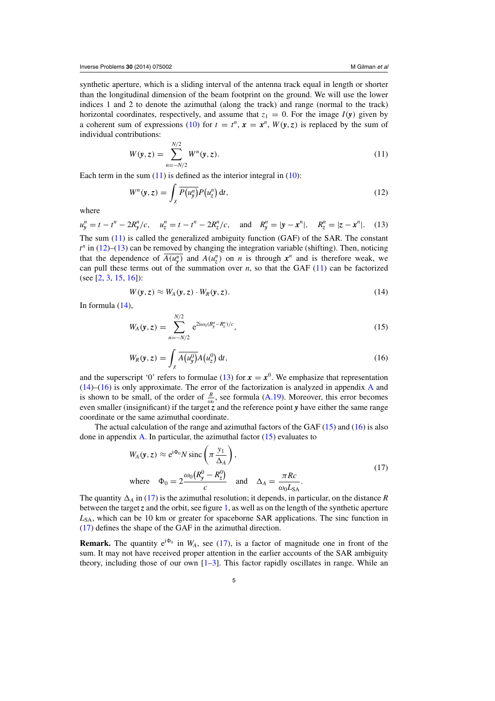<span id="page-4-0"></span>synthetic aperture, which is a sliding interval of the antenna track equal in length or shorter than the longitudinal dimension of the beam footprint on the ground. We will use the lower indices 1 and 2 to denote the azimuthal (along the track) and range (normal to the track) horizontal coordinates, respectively, and assume that  $z_1 = 0$ . For the image  $I(y)$  given by a coherent sum of expressions [\(10\)](#page-3-0) for  $t = t^n$ ,  $x = x^n$ ,  $W(y, z)$  is replaced by the sum of individual contributions:

$$
W(y, z) = \sum_{n = -N/2}^{N/2} W^n(y, z).
$$
 (11)

Each term in the sum  $(11)$  is defined as the interior integral in  $(10)$ :

$$
W^{n}(\mathbf{y}, z) = \int_{\chi} \overline{P(u_{\mathbf{y}}^{n})} P(u_{z}^{n}) dt,
$$
\n(12)

where

$$
u_y^n = t - t^n - 2R_y^n/c, \quad u_z^n = t - t^n - 2R_z^n/c, \quad \text{and} \quad R_y^n = |\mathbf{y} - \mathbf{x}^n|, \quad R_z^n = |\mathbf{z} - \mathbf{x}^n|. \tag{13}
$$

The sum (11) is called the generalized ambiguity function (GAF) of the SAR. The constant  $t^n$  in (12)–(13) can be removed by changing the integration variable (shifting). Then, noticing that the dependence of  $\overline{A(u_y^n)}$  and  $A(u_z^n)$  on *n* is through  $x^n$  and is therefore weak, we can pull these terms out of the summation over  $n$ , so that the GAF  $(11)$  can be factorized (see [\[2,](#page-25-0) [3,](#page-25-0) [15,](#page-25-0) [16\]](#page-25-0)):

$$
W(\mathbf{y}, z) \approx W_A(\mathbf{y}, z) \cdot W_R(\mathbf{y}, z). \tag{14}
$$

In formula (14),

$$
W_A(\mathbf{y}, z) = \sum_{n=-N/2}^{N/2} e^{2i\omega_0 (R_y^n - R_z^n)/c}, \qquad (15)
$$

$$
W_R(\mathbf{y}, z) = \int_{\chi} \overline{A(u_y^0)} A(u_z^0) dt,
$$
\n(16)

and the superscript '0' refers to formulae (13) for  $x = x^0$ . We emphasize that representation (14)–(16) is only approximate. The error of the factorization is analyzed in appendix [A](#page-16-0) and is shown to be small, of the order of  $\frac{B}{\omega_0}$ , see formula [\(A.19\)](#page-18-0). Moreover, this error becomes even smaller (insignificant) if the target *z* and the reference point *y* have either the same range coordinate or the same azimuthal coordinate.

The actual calculation of the range and azimuthal factors of the GAF  $(15)$  and  $(16)$  is also done in appendix [A.](#page-16-0) In particular, the azimuthal factor  $(15)$  evaluates to

$$
W_A(\mathbf{y}, z) \approx e^{i\Phi_0} N \operatorname{sinc}\left(\pi \frac{y_1}{\Delta_A}\right),
$$
  
where  $\Phi_0 = 2 \frac{\omega_0 (R_y^0 - R_z^0)}{c}$  and  $\Delta_A = \frac{\pi R c}{\omega_0 L_{SA}}$ . (17)

The quantity  $\Delta_A$  in (17) is the azimuthal resolution; it depends, in particular, on the distance *R* between the target *z* and the orbit, see figure [1,](#page-3-0) as well as on the length of the synthetic aperture L<sub>SA</sub>, which can be 10 km or greater for spaceborne SAR applications. The sinc function in (17) defines the shape of the GAF in the azimuthal direction.

**Remark.** The quantity  $e^{i\Phi_0}$  in  $W_A$ , see (17), is a factor of magnitude one in front of the sum. It may not have received proper attention in the earlier accounts of the SAR ambiguity theory, including those of our own  $[1-3]$ . This factor rapidly oscillates in range. While an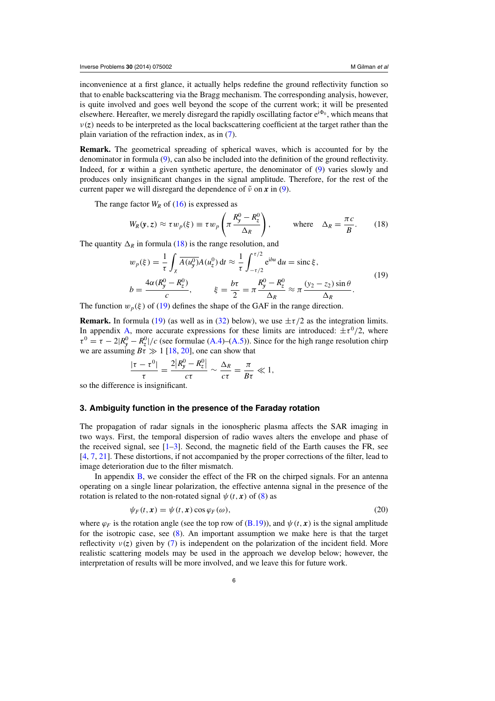<span id="page-5-0"></span>inconvenience at a first glance, it actually helps redefine the ground reflectivity function so that to enable backscattering via the Bragg mechanism. The corresponding analysis, however, is quite involved and goes well beyond the scope of the current work; it will be presented elsewhere. Hereafter, we merely disregard the rapidly oscillating factor  $e^{i\Phi_0}$ , which means that  $v(z)$  needs to be interpreted as the local backscattering coefficient at the target rather than the plain variation of the refraction index, as in [\(7\)](#page-2-0).

**Remark.** The geometrical spreading of spherical waves, which is accounted for by the denominator in formula [\(9\)](#page-3-0), can also be included into the definition of the ground reflectivity. Indeed, for *x* within a given synthetic aperture, the denominator of [\(9\)](#page-3-0) varies slowly and produces only insignificant changes in the signal amplitude. Therefore, for the rest of the current paper we will disregard the dependence of  $\tilde{\nu}$  on  $\tilde{x}$  in [\(9\)](#page-3-0).

The range factor  $W_R$  of [\(16\)](#page-4-0) is expressed as

$$
W_R(\mathbf{y}, z) \approx \tau w_p(\xi) \equiv \tau w_p \left( \pi \frac{R_y^0 - R_z^0}{\Delta_R} \right), \quad \text{where} \quad \Delta_R = \frac{\pi c}{B}.
$$
 (18)

The quantity  $\Delta_R$  in formula (18) is the range resolution, and

$$
w_p(\xi) = \frac{1}{\tau} \int_{\chi} \overline{A(u_y^0)} A(u_z^0) dt \approx \frac{1}{\tau} \int_{-\tau/2}^{\tau/2} e^{ibu} du = \text{sinc } \xi,
$$
  

$$
b = \frac{4\alpha (R_y^0 - R_z^0)}{c}, \qquad \xi = \frac{b\tau}{2} = \pi \frac{R_y^0 - R_z^0}{\Delta_R} \approx \pi \frac{(y_2 - z_2) \sin \theta}{\Delta_R}.
$$
 (19)

The function  $w_p(\xi)$  of (19) defines the shape of the GAF in the range direction.

**Remark.** In formula (19) (as well as in [\(32\)](#page-8-0) below), we use  $\pm \tau/2$  as the integration limits. In appendix [A,](#page-16-0) more accurate expressions for these limits are introduced:  $\pm \tau^0/2$ , where  $\tau^0 = \tau - 2|R_y^0 - R_z^0|/c$  (see formulae [\(A.4\)](#page-16-0)–[\(A.5\)](#page-16-0)). Since for the high range resolution chirp we are assuming  $B\bar{t} \gg 1$  [\[18,](#page-26-0) [20](#page-26-0)], one can show that

$$
\frac{|\tau-\tau^0|}{\tau}=\frac{2|R_y^0-R_z^0|}{c\tau}\sim \frac{\Delta_R}{c\tau}=\frac{\pi}{B\tau}\ll 1,
$$

so the difference is insignificant.

#### **3. Ambiguity function in the presence of the Faraday rotation**

The propagation of radar signals in the ionospheric plasma affects the SAR imaging in two ways. First, the temporal dispersion of radio waves alters the envelope and phase of the received signal, see  $[1-3]$ . Second, the magnetic field of the Earth causes the FR, see [\[4](#page-25-0), [7](#page-25-0), [21](#page-26-0)]. These distortions, if not accompanied by the proper corrections of the filter, lead to image deterioration due to the filter mismatch.

In appendix [B,](#page-19-0) we consider the effect of the FR on the chirped signals. For an antenna operating on a single linear polarization, the effective antenna signal in the presence of the rotation is related to the non-rotated signal  $\psi(t, x)$  of [\(8\)](#page-3-0) as

$$
\psi_F(t, \mathbf{x}) = \psi(t, \mathbf{x}) \cos \varphi_F(\omega), \tag{20}
$$

where  $\varphi_F$  is the rotation angle (see the top row of [\(B.19\)](#page-22-0)), and  $\psi(t, x)$  is the signal amplitude for the isotropic case, see [\(8\)](#page-3-0). An important assumption we make here is that the target reflectivity  $v(z)$  given by [\(7\)](#page-2-0) is independent on the polarization of the incident field. More realistic scattering models may be used in the approach we develop below; however, the interpretation of results will be more involved, and we leave this for future work.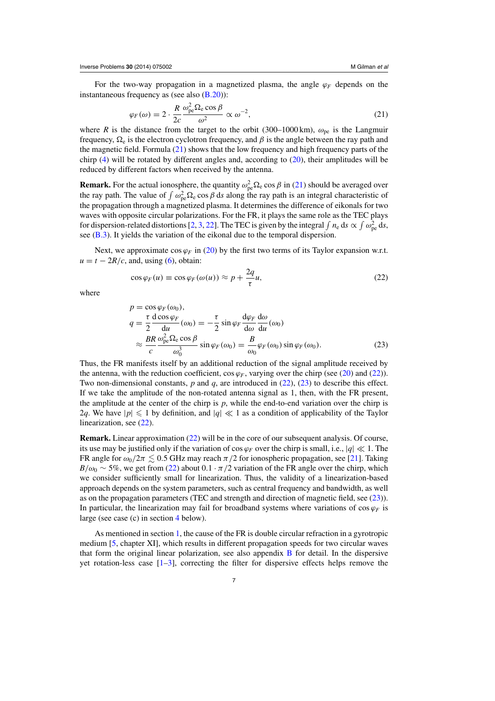<span id="page-6-0"></span>For the two-way propagation in a magnetized plasma, the angle ϕ*<sup>F</sup>* depends on the instantaneous frequency as (see also  $(B.20)$ ):

$$
\varphi_F(\omega) = 2 \cdot \frac{R}{2c} \frac{\omega_{\rm pe}^2 \Omega_{\rm e} \cos \beta}{\omega^2} \propto \omega^{-2},\tag{21}
$$

where *R* is the distance from the target to the orbit (300–1000 km),  $\omega_{pe}$  is the Langmuir frequency,  $\Omega_e$  is the electron cyclotron frequency, and  $\beta$  is the angle between the ray path and the magnetic field. Formula  $(21)$  shows that the low frequency and high frequency parts of the chirp [\(4\)](#page-2-0) will be rotated by different angles and, according to [\(20\)](#page-5-0), their amplitudes will be reduced by different factors when received by the antenna.

**Remark.** For the actual ionosphere, the quantity  $\omega_{pe}^2 \Omega_e \cos \beta$  in (21) should be averaged over the ray path. The value of  $\int \omega_{pe}^2 \Omega_e \cos \beta \, ds$  along the ray path is an integral characteristic of the propagation through a magnetized plasma. It determines the difference of eikonals for two waves with opposite circular polarizations. For the FR, it plays the same role as the TEC plays for dispersion-related distortions [\[2](#page-25-0), [3](#page-25-0), [22](#page-26-0)]. The TEC is given by the integral  $\int n_e ds \propto \int \omega_{pe}^2 ds$ , see [\(B.3\)](#page-19-0). It yields the variation of the eikonal due to the temporal dispersion.

Next, we approximate  $\cos \varphi_F$  in [\(20\)](#page-5-0) by the first two terms of its Taylor expansion w.r.t.  $u = t - 2R/c$ , and, using [\(6\)](#page-2-0), obtain:

$$
\cos \varphi_F(u) \equiv \cos \varphi_F(\omega(u)) \approx p + \frac{2q}{\tau}u,\tag{22}
$$

where

$$
p = \cos \varphi_F(\omega_0),
$$
  
\n
$$
q = \frac{\tau}{2} \frac{d \cos \varphi_F}{du}(\omega_0) = -\frac{\tau}{2} \sin \varphi_F \frac{d\varphi_F}{du}(\omega_0)
$$
  
\n
$$
\approx \frac{BR}{c} \frac{\omega_{pe}^2 \Omega_e \cos \beta}{\omega_0^3} \sin \varphi_F(\omega_0) = \frac{B}{\omega_0} \varphi_F(\omega_0) \sin \varphi_F(\omega_0).
$$
 (23)

Thus, the FR manifests itself by an additional reduction of the signal amplitude received by the antenna, with the reduction coefficient, cos  $\varphi_F$ , varying over the chirp (see [\(20\)](#page-5-0) and (22)). Two non-dimensional constants, *p* and *q*, are introduced in (22), (23) to describe this effect. If we take the amplitude of the non-rotated antenna signal as 1, then, with the FR present, the amplitude at the center of the chirp is *p*, while the end-to-end variation over the chirp is 2q. We have  $|p| \leq 1$  by definition, and  $|q| \ll 1$  as a condition of applicability of the Taylor linearization, see (22).

**Remark.** Linear approximation (22) will be in the core of our subsequent analysis. Of course, its use may be justified only if the variation of  $\cos \varphi_F$  over the chirp is small, i.e.,  $|q| \ll 1$ . The FR angle for  $\omega_0/2\pi \lesssim 0.5$  GHz may reach  $\pi/2$  for ionospheric propagation, see [\[21\]](#page-26-0). Taking  $B/\omega_0 \sim 5\%$ , we get from (22) about  $0.1 \cdot \pi/2$  variation of the FR angle over the chirp, which we consider sufficiently small for linearization. Thus, the validity of a linearization-based approach depends on the system parameters, such as central frequency and bandwidth, as well as on the propagation parameters (TEC and strength and direction of magnetic field, see (23)). In particular, the linearization may fail for broadband systems where variations of  $\cos \varphi_F$  is large (see case (c) in section [4](#page-8-0) below).

As mentioned in section [1,](#page-0-0) the cause of the FR is double circular refraction in a gyrotropic medium [\[5,](#page-25-0) chapter XI], which results in different propagation speeds for two circular waves that form the original linear polarization, see also appendix [B](#page-19-0) for detail. In the dispersive yet rotation-less case  $[1-3]$ , correcting the filter for dispersive effects helps remove the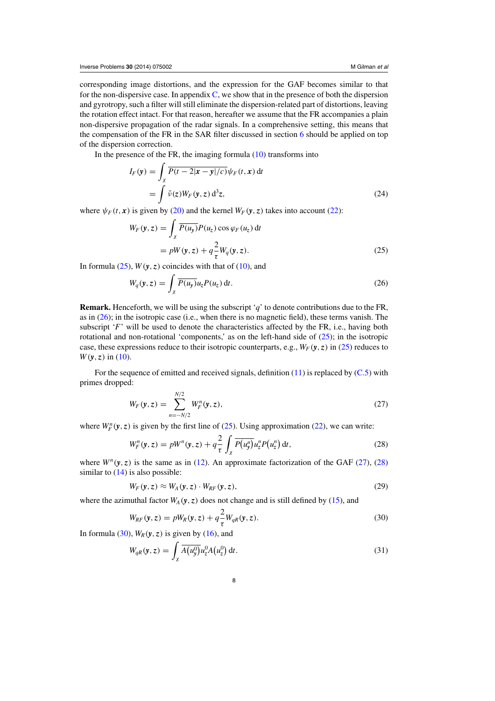<span id="page-7-0"></span>corresponding image distortions, and the expression for the GAF becomes similar to that for the non-dispersive case. In appendix  $C$ , we show that in the presence of both the dispersion and gyrotropy, such a filter will still eliminate the dispersion-related part of distortions, leaving the rotation effect intact. For that reason, hereafter we assume that the FR accompanies a plain non-dispersive propagation of the radar signals. In a comprehensive setting, this means that the compensation of the FR in the SAR filter discussed in section [6](#page-13-0) should be applied on top of the dispersion correction.

In the presence of the FR, the imaging formula  $(10)$  transforms into

$$
I_F(\mathbf{y}) = \int_{\chi} \overline{P(t - 2|\mathbf{x} - \mathbf{y}|/c)} \psi_F(t, \mathbf{x}) dt
$$
  
= 
$$
\int \tilde{\nu}(z) W_F(\mathbf{y}, z) d^3 z,
$$
 (24)

where  $\psi_F(t, x)$  is given by [\(20\)](#page-5-0) and the kernel  $W_F(y, z)$  takes into account [\(22\)](#page-6-0):

$$
W_F(\mathbf{y}, z) = \int_{\chi} \overline{P(u_{\mathbf{y}})} P(u_z) \cos \varphi_F(u_z) dt
$$
  
=  $pW(\mathbf{y}, z) + q \frac{2}{\tau} W_q(\mathbf{y}, z).$  (25)

In formula  $(25)$ ,  $W(y, z)$  coincides with that of  $(10)$ , and

$$
W_q(\mathbf{y}, z) = \int_{\chi} \overline{P(u_{\mathbf{y}})} u_z P(u_z) \, \mathrm{d}t. \tag{26}
$$

**Remark.** Henceforth, we will be using the subscript '*q*' to denote contributions due to the FR, as in  $(26)$ ; in the isotropic case (i.e., when there is no magnetic field), these terms vanish. The subscript '*F*' will be used to denote the characteristics affected by the FR, i.e., having both rotational and non-rotational 'components,' as on the left-hand side of  $(25)$ ; in the isotropic case, these expressions reduce to their isotropic counterparts, e.g.,  $W_F(y, z)$  in (25) reduces to  $W(y, z)$  in [\(10\)](#page-3-0).

For the sequence of emitted and received signals, definition  $(11)$  is replaced by  $(C.5)$  with primes dropped:

$$
W_F(\mathbf{y}, z) = \sum_{n=-N/2}^{N/2} W_F^n(\mathbf{y}, z),
$$
\n(27)

where  $W_F^n(y, z)$  is given by the first line of (25). Using approximation [\(22\)](#page-6-0), we can write:

$$
W_F^n(\mathbf{y}, z) = pW^n(\mathbf{y}, z) + q \frac{2}{\tau} \int_{\chi} \overline{P(u_y^n)} u_z^n P(u_z^n) dt,
$$
\n(28)

where  $W^{n}(v, z)$  is the same as in [\(12\)](#page-4-0). An approximate factorization of the GAF (27), (28) similar to  $(14)$  is also possible:

$$
W_F(\mathbf{y}, z) \approx W_A(\mathbf{y}, z) \cdot W_{RF}(\mathbf{y}, z), \tag{29}
$$

where the azimuthal factor  $W_A(y, z)$  does not change and is still defined by [\(15\)](#page-4-0), and

$$
W_{RF}(\mathbf{y}, z) = pW_R(\mathbf{y}, z) + q \frac{2}{\tau} W_{qR}(\mathbf{y}, z). \tag{30}
$$

In formula (30),  $W_R(y, z)$  is given by [\(16\)](#page-4-0), and

$$
W_{qR}(\mathbf{y},z) = \int_{\chi} \overline{A(u_y^0)} u_z^0 A(u_z^0) dt.
$$
 (31)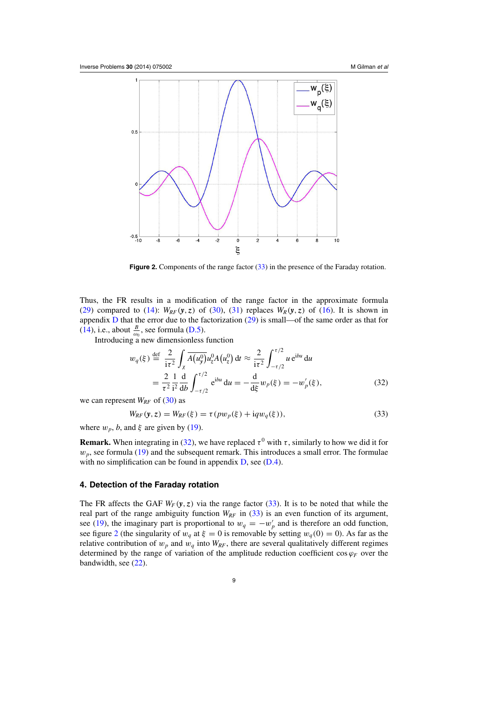<span id="page-8-0"></span>

**Figure 2.** Components of the range factor (33) in the presence of the Faraday rotation.

Thus, the FR results in a modification of the range factor in the approximate formula [\(29\)](#page-7-0) compared to [\(14\)](#page-4-0):  $W_{RF}(y, z)$  of [\(30\)](#page-7-0), [\(31\)](#page-7-0) replaces  $W_R(y, z)$  of [\(16\)](#page-4-0). It is shown in appendix [D](#page-24-0) that the error due to the factorization [\(29\)](#page-7-0) is small—of the same order as that for [\(14\)](#page-4-0), i.e., about  $\frac{B}{\omega_0}$ , see formula [\(D.5\)](#page-25-0).

Introducing a new dimensionless function

$$
w_q(\xi) \stackrel{\text{def}}{=} \frac{2}{i\tau^2} \int_{\chi} \overline{A(u_y^0)} u_z^0 A(u_z^0) \, \mathrm{d}t \approx \frac{2}{i\tau^2} \int_{-\tau/2}^{\tau/2} u \, \mathrm{e}^{\mathrm{i}bu} \, \mathrm{d}u
$$
\n
$$
= \frac{2}{\tau^2} \frac{1}{i^2} \frac{\mathrm{d}}{\mathrm{d}b} \int_{-\tau/2}^{\tau/2} \mathrm{e}^{\mathrm{i}bu} \, \mathrm{d}u = -\frac{\mathrm{d}}{\mathrm{d}\xi} w_p(\xi) = -w_p'(\xi), \tag{32}
$$

we can represent  $W_{RF}$  of [\(30\)](#page-7-0) as

$$
W_{RF}(\mathbf{y}, z) = W_{RF}(\xi) = \tau(pw_p(\xi) + iqw_q(\xi)),
$$
\n(33)

where  $w_p$ , *b*, and  $\xi$  are given by [\(19\)](#page-5-0).

**Remark.** When integrating in (32), we have replaced  $\tau^0$  with  $\tau$ , similarly to how we did it for  $w_p$ , see formula [\(19\)](#page-5-0) and the subsequent remark. This introduces a small error. The formulae with no simplification can be found in appendix [D,](#page-24-0) see [\(D.4\)](#page-24-0).

## **4. Detection of the Faraday rotation**

The FR affects the GAF  $W_F(y, z)$  via the range factor (33). It is to be noted that while the real part of the range ambiguity function  $W_{RF}$  in (33) is an even function of its argument, see [\(19\)](#page-5-0), the imaginary part is proportional to  $w_q = -w'_p$  and is therefore an odd function, see figure 2 (the singularity of  $w_q$  at  $\xi = 0$  is removable by setting  $w_q(0) = 0$ ). As far as the relative contribution of  $w_p$  and  $w_q$  into  $W_{RF}$ , there are several qualitatively different regimes determined by the range of variation of the amplitude reduction coefficient cos  $\varphi_F$  over the bandwidth, see [\(22\)](#page-6-0).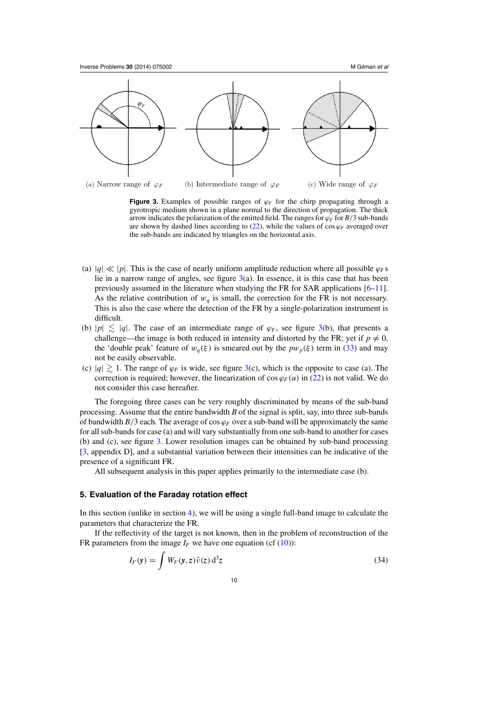<span id="page-9-0"></span>

**Figure 3.** Examples of possible ranges of  $\varphi$ *F* for the chirp propagating through a gyrotropic medium shown in a plane normal to the direction of propagation. The thick arrow indicates the polarization of the emitted field. The ranges for  $\varphi$ <sup>*F*</sup> for *B*/3 sub-bands are shown by dashed lines according to  $(22)$ , while the values of cos  $\varphi_F$  averaged over the sub-bands are indicated by triangles on the horizontal axis.

- (a)  $|q| \ll |p|$ . This is the case of nearly uniform amplitude reduction where all possible  $\varphi_F$ s lie in a narrow range of angles, see figure 3(a). In essence, it is this case that has been previously assumed in the literature when studying the FR for SAR applications [\[6–11\]](#page-25-0). As the relative contribution of  $w_q$  is small, the correction for the FR is not necessary. This is also the case where the detection of the FR by a single-polarization instrument is difficult.
- (b)  $|p| \le |q|$ . The case of an intermediate range of  $\varphi_F$ , see figure 3(b), that presents a challenge—the image is both reduced in intensity and distorted by the FR; yet if  $p \neq 0$ , the 'double peak' feature of  $w_q(\xi)$  is smeared out by the  $pw_p(\xi)$  term in [\(33\)](#page-8-0) and may not be easily observable.
- (c)  $|q| \gtrsim 1$ . The range of  $\varphi_F$  is wide, see figure 3(c), which is the opposite to case (a). The correction is required; however, the linearization of cos  $\varphi_F(u)$  in [\(22\)](#page-6-0) is not valid. We do not consider this case hereafter.

The foregoing three cases can be very roughly discriminated by means of the sub-band processing. Assume that the entire bandwidth *B* of the signal is split, say, into three sub-bands of bandwidth  $B/3$  each. The average of cos  $\varphi_F$  over a sub-band will be approximately the same for all sub-bands for case (a) and will vary substantially from one sub-band to another for cases (b) and (c), see figure 3. Lower resolution images can be obtained by sub-band processing [\[3](#page-25-0), appendix D], and a substantial variation between their intensities can be indicative of the presence of a significant FR.

All subsequent analysis in this paper applies primarily to the intermediate case (b).

#### **5. Evaluation of the Faraday rotation effect**

In this section (unlike in section [4\)](#page-8-0), we will be using a single full-band image to calculate the parameters that characterize the FR.

If the reflectivity of the target is not known, then in the problem of reconstruction of the FR parameters from the image  $I_F$  we have one equation (cf [\(10\)](#page-3-0)):

$$
I_F(\mathbf{y}) = \int W_F(\mathbf{y}, z) \tilde{\nu}(z) d^3 z \tag{34}
$$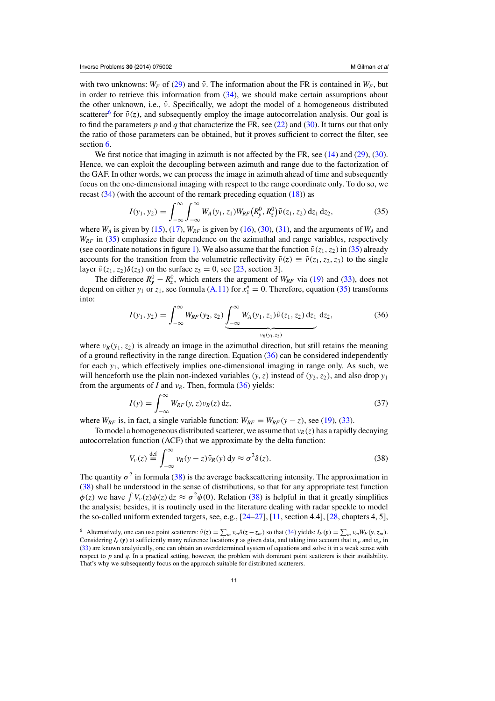<span id="page-10-0"></span>with two unknowns:  $W_F$  of [\(29\)](#page-7-0) and  $\tilde{\nu}$ . The information about the FR is contained in  $W_F$ , but in order to retrieve this information from  $(34)$ , we should make certain assumptions about the other unknown, i.e.,  $\tilde{v}$ . Specifically, we adopt the model of a homogeneous distributed scatterer<sup>6</sup> for  $\tilde{v}(z)$ , and subsequently employ the image autocorrelation analysis. Our goal is to find the parameters  $p$  and  $q$  that characterize the FR, see [\(22\)](#page-6-0) and [\(30\)](#page-7-0). It turns out that only the ratio of those parameters can be obtained, but it proves sufficient to correct the filter, see section [6.](#page-13-0)

We first notice that imaging in azimuth is not affected by the FR, see [\(14\)](#page-4-0) and [\(29\)](#page-7-0), [\(30\)](#page-7-0). Hence, we can exploit the decoupling between azimuth and range due to the factorization of the GAF. In other words, we can process the image in azimuth ahead of time and subsequently focus on the one-dimensional imaging with respect to the range coordinate only. To do so, we recast  $(34)$  (with the account of the remark preceding equation  $(18)$ ) as

$$
I(y_1, y_2) = \int_{-\infty}^{\infty} \int_{-\infty}^{\infty} W_A(y_1, z_1) W_{RF}(R_y^0, R_z^0) \tilde{\nu}(z_1, z_2) dz_1 dz_2, \qquad (35)
$$

where  $W_A$  is given by [\(15\)](#page-4-0), [\(17\)](#page-4-0),  $W_{RF}$  is given by [\(16\)](#page-4-0), [\(30\)](#page-7-0), [\(31\)](#page-7-0), and the arguments of  $W_A$  and *W<sub>RF</sub>* in (35) emphasize their dependence on the azimuthal and range variables, respectively (see coordinate notations in figure [1\)](#page-3-0). We also assume that the function  $\tilde{v}(z_1, z_2)$  in (35) already accounts for the transition from the volumetric reflectivity  $\tilde{v}(z) \equiv \tilde{v}(z_1, z_2, z_3)$  to the single layer  $\tilde{v}(z_1, z_2) \delta(z_3)$  on the surface  $z_3 = 0$ , see [\[23,](#page-26-0) section 3].

The difference  $R_y^0 - R_z^0$ , which enters the argument of  $W_{RF}$  via [\(19\)](#page-5-0) and [\(33\)](#page-8-0), does not depend on either  $y_1$  or  $z_1$ , see formula [\(A.11\)](#page-17-0) for  $x_1^n = 0$ . Therefore, equation (35) transforms into:

$$
I(y_1, y_2) = \int_{-\infty}^{\infty} W_{RF}(y_2, z_2) \underbrace{\int_{-\infty}^{\infty} W_A(y_1, z_1) \tilde{\nu}(z_1, z_2) dz_1}_{\nu_R(y_1, z_2)} dz_2,
$$
 (36)

where  $v_R(y_1, z_2)$  is already an image in the azimuthal direction, but still retains the meaning of a ground reflectivity in the range direction. Equation (36) can be considered independently for each *y*1, which effectively implies one-dimensional imaging in range only. As such, we will henceforth use the plain non-indexed variables  $(y, z)$  instead of  $(y_2, z_2)$ , and also drop  $y_1$ from the arguments of *I* and  $v_R$ . Then, formula (36) yields:

$$
I(y) = \int_{-\infty}^{\infty} W_{RF}(y, z) \nu_R(z) dz,
$$
\n(37)

where  $W_{RF}$  is, in fact, a single variable function:  $W_{RF} = W_{RF}(y - z)$ , see [\(19\)](#page-5-0), [\(33\)](#page-8-0).

To model a homogeneous distributed scatterer, we assume that  $v_R(z)$  has a rapidly decaying autocorrelation function (ACF) that we approximate by the delta function:

$$
V_{\nu}(z) \stackrel{\text{def}}{=} \int_{-\infty}^{\infty} \nu_R(y-z)\bar{\nu}_R(y) \,dy \approx \sigma^2 \delta(z). \tag{38}
$$

The quantity  $\sigma^2$  in formula (38) is the average backscattering intensity. The approximation in (38) shall be understood in the sense of distributions, so that for any appropriate test function  $\phi(z)$  we have  $\int V_\nu(z)\phi(z) dz \approx \sigma^2\phi(0)$ . Relation (38) is helpful in that it greatly simplifies the analysis; besides, it is routinely used in the literature dealing with radar speckle to model the so-called uniform extended targets, see, e.g., [\[24–27](#page-26-0)], [\[11](#page-25-0), section 4.4], [\[28](#page-26-0), chapters 4, 5],

<sup>&</sup>lt;sup>6</sup> Alternatively, one can use point scatterers:  $\tilde{v}(z) = \sum_m v_m \delta(z - z_m)$  so that [\(34\)](#page-9-0) yields:  $I_F(y) = \sum_m v_m W_F(y, z_m)$ . Considering  $I_F(y)$  at sufficiently many reference locations *y* as given data, and taking into account that  $w_p$  and  $w_q$  in [\(33\)](#page-8-0) are known analytically, one can obtain an overdetermined system of equations and solve it in a weak sense with respect to *p* and *q*. In a practical setting, however, the problem with dominant point scatterers is their availability. That's why we subsequently focus on the approach suitable for distributed scatterers.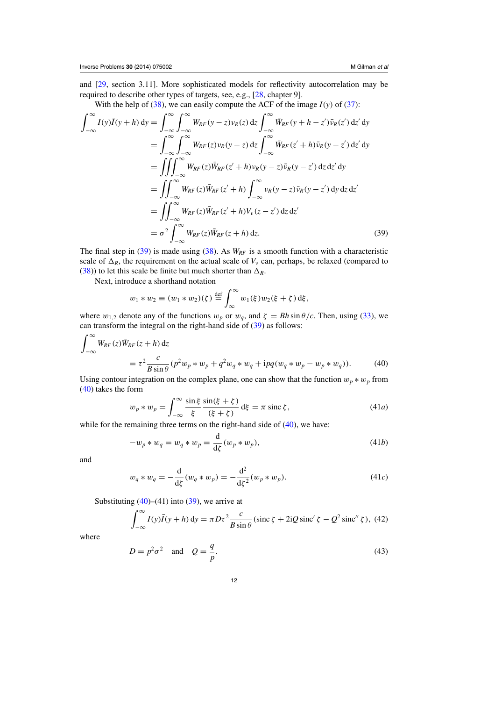<span id="page-11-0"></span>and [\[29,](#page-26-0) section 3.11]. More sophisticated models for reflectivity autocorrelation may be required to describe other types of targets, see, e.g., [\[28,](#page-26-0) chapter 9].

With the help of [\(38\)](#page-10-0), we can easily compute the ACF of the image  $I(y)$  of [\(37\)](#page-10-0):

$$
\int_{-\infty}^{\infty} I(y)\overline{I}(y+h) \,dy = \int_{-\infty}^{\infty} \int_{-\infty}^{\infty} W_{RF}(y-z)\nu_R(z) \,dz \int_{-\infty}^{\infty} \overline{W}_{RF}(y+h-z')\overline{\nu}_R(z') \,dz' \,dy
$$
  
\n
$$
= \int_{-\infty}^{\infty} \int_{-\infty}^{\infty} W_{RF}(z)\nu_R(y-z) \,dz \int_{-\infty}^{\infty} \overline{W}_{RF}(z'+h)\overline{\nu}_R(y-z') \,dz' \,dy
$$
  
\n
$$
= \iiint_{-\infty}^{\infty} W_{RF}(z)\overline{W}_{RF}(z'+h)\nu_R(y-z)\overline{\nu}_R(y-z') \,dz \,dz' \,dy
$$
  
\n
$$
= \iint_{-\infty}^{\infty} W_{RF}(z)\overline{W}_{RF}(z'+h)\int_{-\infty}^{\infty} \nu_R(y-z)\overline{\nu}_R(y-z') \,dy \,dz \,dz'
$$
  
\n
$$
= \iint_{-\infty}^{\infty} W_{RF}(z)\overline{W}_{RF}(z'+h)\nu_V(z-z') \,dz \,dz'
$$
  
\n
$$
= \sigma^2 \int_{-\infty}^{\infty} W_{RF}(z)\overline{W}_{RF}(z+h) \,dz.
$$
 (39)

The final step in  $(39)$  is made using  $(38)$ . As  $W_{RF}$  is a smooth function with a characteristic scale of  $\Delta_R$ , the requirement on the actual scale of  $V_\nu$  can, perhaps, be relaxed (compared to [\(38\)](#page-10-0)) to let this scale be finite but much shorter than  $\Delta_R$ .

Next, introduce a shorthand notation

$$
w_1 * w_2 \equiv (w_1 * w_2)(\zeta) \stackrel{\text{def}}{=} \int_{\infty}^{\infty} w_1(\xi) w_2(\xi + \zeta) d\xi,
$$

where  $w_{1,2}$  denote any of the functions  $w_p$  or  $w_q$ , and  $\zeta = Bh \sin \theta/c$ . Then, using [\(33\)](#page-8-0), we can transform the integral on the right-hand side of (39) as follows:

$$
\int_{-\infty}^{\infty} W_{RF}(z)\bar{W}_{RF}(z+h) dz
$$
  
=  $\tau^2 \frac{c}{B\sin\theta} (p^2 w_p * w_p + q^2 w_q * w_q + i p q (w_q * w_p - w_p * w_q)).$  (40)

Using contour integration on the complex plane, one can show that the function  $w_p * w_p$  from (40) takes the form

$$
w_p * w_p = \int_{-\infty}^{\infty} \frac{\sin \xi}{\xi} \frac{\sin(\xi + \zeta)}{(\xi + \zeta)} d\xi = \pi \operatorname{sinc} \zeta,
$$
 (41*a*)

while for the remaining three terms on the right-hand side of  $(40)$ , we have:

$$
-w_p * w_q = w_q * w_p = \frac{\mathrm{d}}{\mathrm{d}\zeta}(w_p * w_p),\tag{41b}
$$

and

$$
w_q * w_q = -\frac{d}{d\zeta}(w_q * w_p) = -\frac{d^2}{d\zeta^2}(w_p * w_p).
$$
 (41*c*)

Substituting  $(40)$ – $(41)$  into  $(39)$ , we arrive at

$$
\int_{-\infty}^{\infty} I(y)\overline{I}(y+h) \, dy = \pi D\tau^2 \frac{c}{B\sin\theta} (\text{sinc }\zeta + 2iQ\,\text{sinc}'\,\zeta - Q^2\,\text{sinc}''\,\zeta), \tag{42}
$$

where

$$
D = p^2 \sigma^2 \quad \text{and} \quad Q = \frac{q}{p}.
$$
 (43)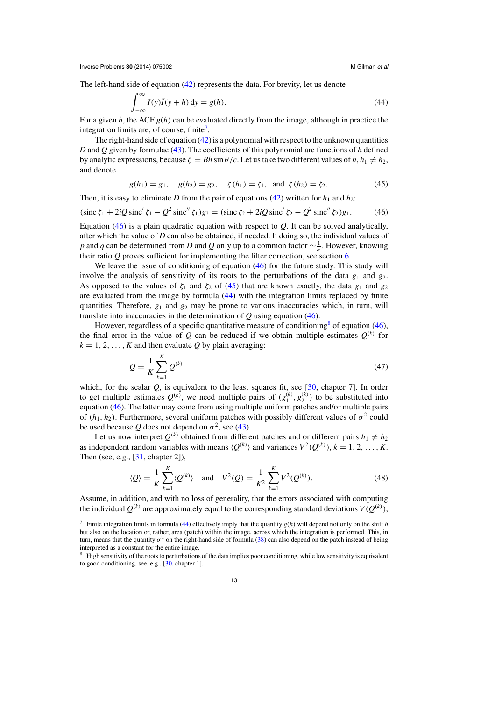<span id="page-12-0"></span>The left-hand side of equation [\(42\)](#page-11-0) represents the data. For brevity, let us denote

$$
\int_{-\infty}^{\infty} I(y)\overline{I}(y+h) \, dy = g(h). \tag{44}
$$

For a given *h*, the ACF  $g(h)$  can be evaluated directly from the image, although in practice the integration limits are, of course, finite<sup>7</sup>.

The right-hand side of equation  $(42)$  is a polynomial with respect to the unknown quantities *D* and *Q* given by formulae [\(43\)](#page-11-0). The coefficients of this polynomial are functions of *h* defined by analytic expressions, because  $\zeta = Bh \sin \theta / c$ . Let us take two different values of  $h, h_1 \neq h_2$ , and denote

$$
g(h_1) = g_1
$$
,  $g(h_2) = g_2$ ,  $\zeta(h_1) = \zeta_1$ , and  $\zeta(h_2) = \zeta_2$ . (45)

Then, it is easy to eliminate *D* from the pair of equations [\(42\)](#page-11-0) written for  $h_1$  and  $h_2$ :

 $(\sin c \zeta_1 + 2iQ \sin c' \zeta_1 - Q^2 \sin c'' \zeta_1)g_2 = (\sin c \zeta_2 + 2iQ \sin c' \zeta_2 - Q^2 \sin c'' \zeta_2)g_1.$  (46)

Equation (46) is a plain quadratic equation with respect to  $Q$ . It can be solved analytically, after which the value of *D* can also be obtained, if needed. It doing so, the individual values of *p* and *q* can be determined from *D* and *Q* only up to a common factor  $\sim \frac{1}{\sigma}$ . However, knowing their ratio  $Q$  proves sufficient for implementing the filter correction, see section  $6$ .

We leave the issue of conditioning of equation (46) for the future study. This study will involve the analysis of sensitivity of its roots to the perturbations of the data  $g_1$  and  $g_2$ . As opposed to the values of  $\zeta_1$  and  $\zeta_2$  of (45) that are known exactly, the data  $g_1$  and  $g_2$ are evaluated from the image by formula (44) with the integration limits replaced by finite quantities. Therefore,  $g_1$  and  $g_2$  may be prone to various inaccuracies which, in turn, will translate into inaccuracies in the determination of *Q* using equation (46).

However, regardless of a specific quantitative measure of conditioning<sup>8</sup> of equation (46), the final error in the value of  $Q$  can be reduced if we obtain multiple estimates  $Q^{(k)}$  for  $k = 1, 2, \ldots, K$  and then evaluate Q by plain averaging:

$$
Q = \frac{1}{K} \sum_{k=1}^{K} Q^{(k)},
$$
\n(47)

which, for the scalar  $Q$ , is equivalent to the least squares fit, see  $[30,$  chapter 7]. In order to get multiple estimates  $Q^{(k)}$ , we need multiple pairs of  $(g_1^{(k)}, g_2^{(k)})$  to be substituted into equation (46). The latter may come from using multiple uniform patches and/or multiple pairs of  $(h_1, h_2)$ . Furthermore, several uniform patches with possibly different values of  $\sigma^2$  could be used because *Q* does not depend on  $\sigma^2$ , see [\(43\)](#page-11-0).

Let us now interpret  $Q^{(k)}$  obtained from different patches and or different pairs  $h_1 \neq h_2$ as independent random variables with means  $\langle Q^{(k)} \rangle$  and variances  $V^2(Q^{(k)}), k = 1, 2, ..., K$ . Then (see, e.g., [\[31,](#page-26-0) chapter 2]),

$$
\langle Q \rangle = \frac{1}{K} \sum_{k=1}^{K} \langle Q^{(k)} \rangle \quad \text{and} \quad V^2(Q) = \frac{1}{K^2} \sum_{k=1}^{K} V^2(Q^{(k)}). \tag{48}
$$

Assume, in addition, and with no loss of generality, that the errors associated with computing the individual  $Q^{(k)}$  are approximately equal to the corresponding standard deviations  $V(Q^{(k)}),$ 

<sup>&</sup>lt;sup>7</sup> Finite integration limits in formula (44) effectively imply that the quantity  $g(h)$  will depend not only on the shift *h* but also on the location or, rather, area (patch) within the image, across which the integration is performed. This, in turn, means that the quantity  $\sigma^2$  on the right-hand side of formula [\(38\)](#page-10-0) can also depend on the patch instead of being interpreted as a constant for the entire image.

High sensitivity of the roots to perturbations of the data implies poor conditioning, while low sensitivity is equivalent to good conditioning, see, e.g., [\[30,](#page-26-0) chapter 1].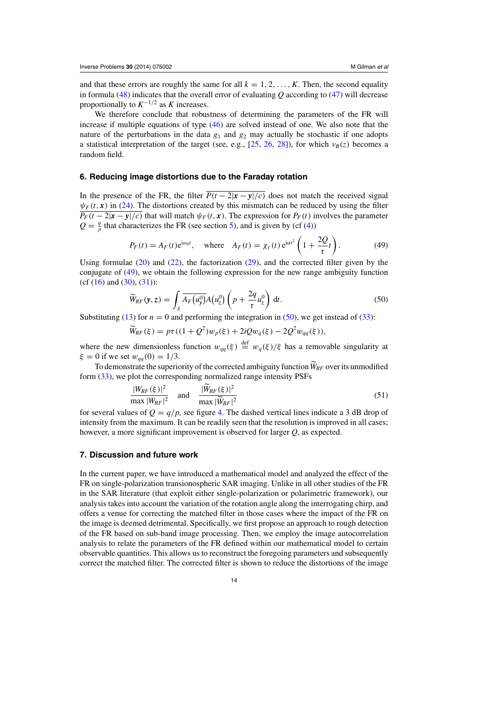<span id="page-13-0"></span>and that these errors are roughly the same for all  $k = 1, 2, \ldots, K$ . Then, the second equality in formula [\(48\)](#page-12-0) indicates that the overall error of evaluating *Q* according to [\(47\)](#page-12-0) will decrease proportionally to  $K^{-1/2}$  as  $K$  increases.

We therefore conclude that robustness of determining the parameters of the FR will increase if multiple equations of type [\(46\)](#page-12-0) are solved instead of one. We also note that the nature of the perturbations in the data  $g_1$  and  $g_2$  may actually be stochastic if one adopts a statistical interpretation of the target (see, e.g., [\[25](#page-26-0), [26](#page-26-0), [28](#page-26-0)]), for which  $\nu_R(z)$  becomes a random field.

## **6. Reducing image distortions due to the Faraday rotation**

In the presence of the FR, the filter  $\overline{P(t-2|x-y|/c)}$  does not match the received signal  $\psi_F(t, x)$  in [\(24\)](#page-7-0). The distortions created by this mismatch can be reduced by using the filter  $P_F(t-2|x-y|/c)$  that will match  $\psi_F(t, x)$ . The expression for  $P_F(t)$  involves the parameter  $Q = \frac{q}{p}$  that characterizes the FR (see section [5\)](#page-9-0), and is given by (cf [\(4\)](#page-2-0))

$$
P_F(t) = A_F(t)e^{i\omega_0 t}, \quad \text{where} \quad A_F(t) = \chi_\tau(t)e^{i\alpha t^2} \left(1 + \frac{2Q}{\tau}t\right). \tag{49}
$$

Using formulae [\(20\)](#page-5-0) and [\(22\)](#page-6-0), the factorization [\(29\)](#page-7-0), and the corrected filter given by the conjugate of (49), we obtain the following expression for the new range ambiguity function  $(cf (16) and (30), (31))$  $(cf (16) and (30), (31))$  $(cf (16) and (30), (31))$  $(cf (16) and (30), (31))$  $(cf (16) and (30), (31))$  $(cf (16) and (30), (31))$  $(cf (16) and (30), (31))$ :

$$
\widetilde{W}_{RF}(\mathbf{y},z) = \int_{\chi} \overline{A_F(u_y^0)} A(u_z^0) \left( p + \frac{2q}{\tau} u_z^0 \right) dt.
$$
 (50)

Substituting [\(13\)](#page-4-0) for  $n = 0$  and performing the integration in (50), we get instead of [\(33\)](#page-8-0):

$$
\widetilde{W}_{RF}(\xi) = p\tau((1+Q^2)w_p(\xi) + 2iQw_q(\xi) - 2Q^2w_{qq}(\xi)),
$$

where the new dimensionless function  $w_{qq}(\xi) \stackrel{\text{def}}{=} w_q(\xi)/\xi$  has a removable singularity at  $\xi = 0$  if we set  $w_{qq}(0) = 1/3$ .

To demonstrate the superiority of the corrected ambiguity function*WRF* over its unmodified form [\(33\)](#page-8-0), we plot the corresponding normalized range intensity PSFs

$$
\frac{|W_{RF}(\xi)|^2}{\max |W_{RF}|^2}
$$
 and 
$$
\frac{|\widetilde{W}_{RF}(\xi)|^2}{\max |\widetilde{W}_{RF}|^2}
$$
 (51)  
for several values of  $Q = q/p$ , see figure 4. The dashed vertical lines indicate a 3 dB drop of

intensity from the maximum. It can be readily seen that the resolution is improved in all cases; however, a more significant improvement is observed for larger *Q*, as expected.

## **7. Discussion and future work**

In the current paper, we have introduced a mathematical model and analyzed the effect of the FR on single-polarization transionospheric SAR imaging. Unlike in all other studies of the FR in the SAR literature (that exploit either single-polarization or polarimetric framework), our analysis takes into account the variation of the rotation angle along the interrogating chirp, and offers a venue for correcting the matched filter in those cases where the impact of the FR on the image is deemed detrimental. Specifically, we first propose an approach to rough detection of the FR based on sub-band image processing. Then, we employ the image autocorrelation analysis to relate the parameters of the FR defined within our mathematical model to certain observable quantities. This allows us to reconstruct the foregoing parameters and subsequently correct the matched filter. The corrected filter is shown to reduce the distortions of the image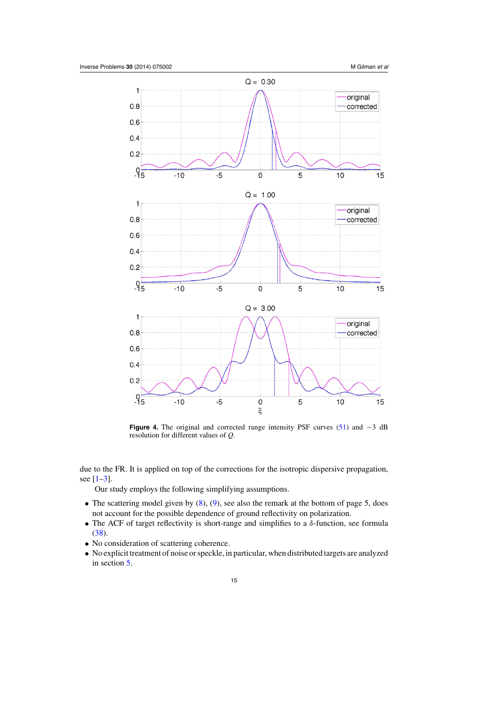<span id="page-14-0"></span>

**Figure 4.** The original and corrected range intensity PSF curves [\(51\)](#page-13-0) and −3 dB resolution for different values of *Q*.

due to the FR. It is applied on top of the corrections for the isotropic dispersive propagation, see  $[1-3]$ .

Our study employs the following simplifying assumptions.

- The scattering model given by  $(8)$ ,  $(9)$ , see also the remark at the bottom of page 5, does not account for the possible dependence of ground reflectivity on polarization.
- The ACF of target reflectivity is short-range and simplifies to a  $\delta$ -function, see formula [\(38\)](#page-10-0).
- No consideration of scattering coherence.
- No explicit treatment of noise or speckle, in particular, when distributed targets are analyzed in section [5.](#page-9-0)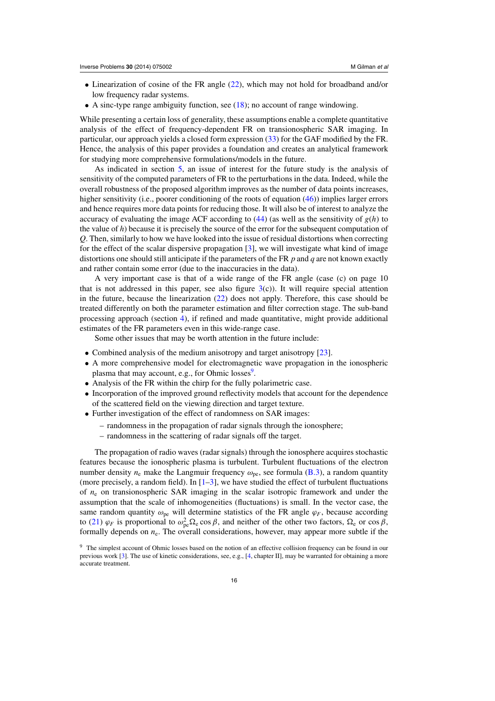- Linearization of cosine of the FR angle [\(22\)](#page-6-0), which may not hold for broadband and/or low frequency radar systems.
- A sinc-type range ambiguity function, see  $(18)$ ; no account of range windowing.

While presenting a certain loss of generality, these assumptions enable a complete quantitative analysis of the effect of frequency-dependent FR on transionospheric SAR imaging. In particular, our approach yields a closed form expression [\(33\)](#page-8-0) for the GAF modified by the FR. Hence, the analysis of this paper provides a foundation and creates an analytical framework for studying more comprehensive formulations/models in the future.

As indicated in section [5,](#page-9-0) an issue of interest for the future study is the analysis of sensitivity of the computed parameters of FR to the perturbations in the data. Indeed, while the overall robustness of the proposed algorithm improves as the number of data points increases, higher sensitivity (i.e., poorer conditioning of the roots of equation [\(46\)](#page-12-0)) implies larger errors and hence requires more data points for reducing those. It will also be of interest to analyze the accuracy of evaluating the image ACF according to  $(44)$  (as well as the sensitivity of  $g(h)$  to the value of *h*) because it is precisely the source of the error for the subsequent computation of *Q*. Then, similarly to how we have looked into the issue of residual distortions when correcting for the effect of the scalar dispersive propagation [\[3\]](#page-25-0), we will investigate what kind of image distortions one should still anticipate if the parameters of the FR *p* and *q* are not known exactly and rather contain some error (due to the inaccuracies in the data).

A very important case is that of a wide range of the FR angle (case (c) on page 10 that is not addressed in this paper, see also figure  $3(c)$  $3(c)$ ). It will require special attention in the future, because the linearization [\(22\)](#page-6-0) does not apply. Therefore, this case should be treated differently on both the parameter estimation and filter correction stage. The sub-band processing approach (section [4\)](#page-8-0), if refined and made quantitative, might provide additional estimates of the FR parameters even in this wide-range case.

Some other issues that may be worth attention in the future include:

- Combined analysis of the medium anisotropy and target anisotropy [\[23](#page-26-0)].
- A more comprehensive model for electromagnetic wave propagation in the ionospheric plasma that may account, e.g., for Ohmic losses<sup>9</sup>.
- Analysis of the FR within the chirp for the fully polarimetric case.
- Incorporation of the improved ground reflectivity models that account for the dependence of the scattered field on the viewing direction and target texture.
- Further investigation of the effect of randomness on SAR images:
	- randomness in the propagation of radar signals through the ionosphere;
	- randomness in the scattering of radar signals off the target.

The propagation of radio waves (radar signals) through the ionosphere acquires stochastic features because the ionospheric plasma is turbulent. Turbulent fluctuations of the electron number density  $n_e$  make the Langmuir frequency  $\omega_{pe}$ , see formula [\(B.3\)](#page-19-0), a random quantity (more precisely, a random field). In  $[1–3]$  $[1–3]$ , we have studied the effect of turbulent fluctuations of *n*<sup>e</sup> on transionospheric SAR imaging in the scalar isotropic framework and under the assumption that the scale of inhomogeneities (fluctuations) is small. In the vector case, the same random quantity  $\omega_{pe}$  will determine statistics of the FR angle  $\varphi_F$ , because according to [\(21\)](#page-6-0)  $\varphi_F$  is proportional to  $\omega_{pe}^2 \Omega_e \cos \beta$ , and neither of the other two factors,  $\Omega_e$  or  $\cos \beta$ , formally depends on  $n_e$ . The overall considerations, however, may appear more subtle if the

<sup>9</sup> The simplest account of Ohmic losses based on the notion of an effective collision frequency can be found in our previous work [\[3\]](#page-25-0). The use of kinetic considerations, see, e.g., [\[4,](#page-25-0) chapter II], may be warranted for obtaining a more accurate treatment.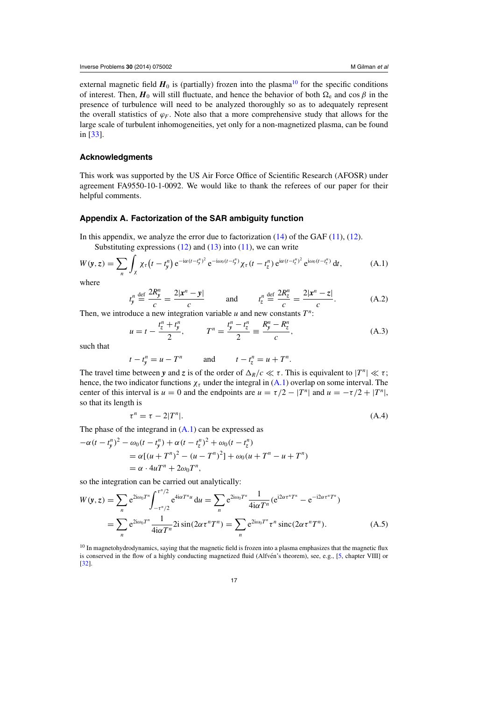<span id="page-16-0"></span>external magnetic field  $H_0$  is (partially) frozen into the plasma<sup>10</sup> for the specific conditions of interest. Then,  $H_0$  will still fluctuate, and hence the behavior of both  $\Omega_e$  and cos  $\beta$  in the presence of turbulence will need to be analyzed thoroughly so as to adequately represent the overall statistics of  $\varphi_F$ . Note also that a more comprehensive study that allows for the large scale of turbulent inhomogeneities, yet only for a non-magnetized plasma, can be found in [\[33](#page-26-0)].

## **Acknowledgments**

This work was supported by the US Air Force Office of Scientific Research (AFOSR) under agreement FA9550-10-1-0092. We would like to thank the referees of our paper for their helpful comments.

## **Appendix A. Factorization of the SAR ambiguity function**

In this appendix, we analyze the error due to factorization  $(14)$  of the GAF  $(11)$ ,  $(12)$ . Substituting expressions  $(12)$  and  $(13)$  into  $(11)$ , we can write

$$
W(\mathbf{y},z) = \sum_{n} \int_{\chi} \chi_{\tau} \left(t - t_{\mathbf{y}}^{n}\right) e^{-i\alpha(t - t_{\mathbf{y}}^{n})^{2}} e^{-i\omega_{0}\left(t - t_{\mathbf{y}}^{n}\right)} \chi_{\tau} \left(t - t_{z}^{n}\right) e^{i\alpha(t - t_{z}^{n})^{2}} e^{i\omega_{0}\left(t - t_{z}^{n}\right)} dt,
$$
\n(A.1)

where

$$
t_y^n \stackrel{\text{def}}{=} \frac{2R_y^n}{c} = \frac{2|x^n - y|}{c} \qquad \text{and} \qquad t_z^n \stackrel{\text{def}}{=} \frac{2R_z^n}{c} = \frac{2|x^n - z|}{c}.
$$
 (A.2)

Then, we introduce a new integration variable *u* and new constants *T<sup>n</sup>*:

$$
u = t - \frac{t_z^n + t_y^n}{2}, \qquad T^n = \frac{t_y^n - t_z^n}{2} \equiv \frac{R_y^n - R_z^n}{c}, \tag{A.3}
$$

such that

$$
t - t_y^n = u - T^n \qquad \text{and} \qquad t - t_z^n = u + T^n.
$$

The travel time between *y* and *z* is of the order of  $\Delta_R/c \ll \tau$ . This is equivalent to  $|T^n| \ll \tau$ ; hence, the two indicator functions  $\chi_{\tau}$  under the integral in (A.1) overlap on some interval. The center of this interval is  $u = 0$  and the endpoints are  $u = \tau/2 - |T^n|$  and  $u = -\tau/2 + |T^n|$ , so that its length is

$$
\tau^n = \tau - 2|T^n|.\tag{A.4}
$$

The phase of the integrand in  $(A.1)$  can be expressed as

$$
-\alpha (t - t_y^n)^2 - \omega_0 (t - t_y^n) + \alpha (t - t_z^n)^2 + \omega_0 (t - t_z^n)
$$
  
=  $\alpha [(u + T^n)^2 - (u - T^n)^2] + \omega_0 (u + T^n - u + T^n)$   
=  $\alpha \cdot 4uT^n + 2\omega_0 T^n$ ,

so the integration can be carried out analytically:

$$
W(y, z) = \sum_{n} e^{2i\omega_0 T^n} \int_{-\tau^n/2}^{\tau^n/2} e^{4i\alpha T^n u} du = \sum_{n} e^{2i\omega_0 T^n} \frac{1}{4i\alpha T^n} (e^{i2\alpha \tau^n T^n} - e^{-i2\alpha \tau^n T^n})
$$
  
= 
$$
\sum_{n} e^{2i\omega_0 T^n} \frac{1}{4i\alpha T^n} 2i \sin(2\alpha \tau^n T^n) = \sum_{n} e^{2i\omega_0 T^n} \tau^n \operatorname{sinc}(2\alpha \tau^n T^n). \tag{A.5}
$$

<sup>10</sup> In magnetohydrodynamics, saying that the magnetic field is frozen into a plasma emphasizes that the magnetic flux is conserved in the flow of a highly conducting magnetized fluid (Alfvén's theorem), see, e.g., [[5,](#page-25-0) chapter VIII] or [\[32\]](#page-26-0).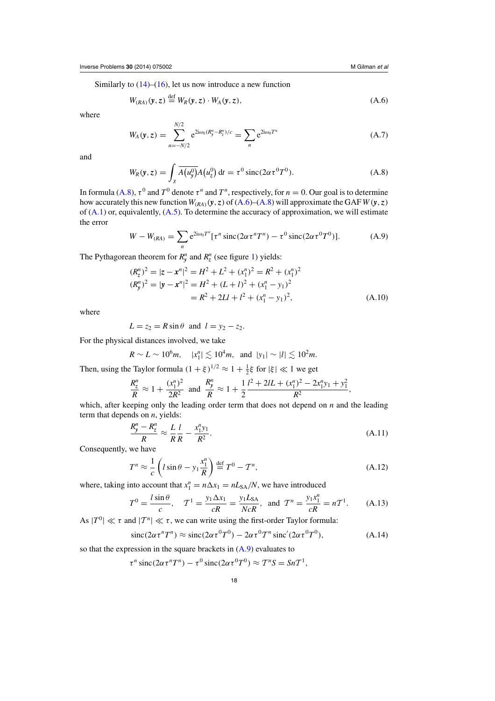<span id="page-17-0"></span>Similarly to  $(14)$ – $(16)$ , let us now introduce a new function

$$
W_{(RA)}(y, z) \stackrel{\text{def}}{=} W_R(y, z) \cdot W_A(y, z), \tag{A.6}
$$

where

$$
W_A(\mathbf{y}, z) = \sum_{n=-N/2}^{N/2} e^{2i\omega_0 (R_y^n - R_z^n)/c} = \sum_n e^{2i\omega_0 T^n}
$$
 (A.7)

and

$$
W_R(\mathbf{y}, z) = \int_{\chi} \overline{A(u_y^0)} A(u_z^0) dt = \tau^0 \operatorname{sinc}(2\alpha \tau^0 T^0). \tag{A.8}
$$

In formula (A.8),  $\tau^0$  and  $T^0$  denote  $\tau^n$  and  $T^n$ , respectively, for  $n = 0$ . Our goal is to determine how accurately this new function  $W_{(RA)}(y, z)$  of  $(A.6)$ – $(A.8)$  will approximate the GAF  $W(y, z)$ of  $(A.1)$  or, equivalently,  $(A.5)$ . To determine the accuracy of approximation, we will estimate the error

$$
W - W_{(RA)} = \sum_{n} e^{2i\omega_0 T^n} [\tau^n \operatorname{sinc}(2\alpha \tau^n T^n) - \tau^0 \operatorname{sinc}(2\alpha \tau^0 T^0)]. \tag{A.9}
$$

The Pythagorean theorem for  $R_{y}^{n}$  and  $R_{z}^{n}$  (see figure [1\)](#page-3-0) yields:

$$
(R_z^n)^2 = |z - x^n|^2 = H^2 + L^2 + (x_1^n)^2 = R^2 + (x_1^n)^2
$$
  
\n
$$
(R_y^n)^2 = |y - x^n|^2 = H^2 + (L + l)^2 + (x_1^n - y_1)^2
$$
  
\n
$$
= R^2 + 2Ll + l^2 + (x_1^n - y_1)^2,
$$
\n(A.10)

where

$$
L = z_2 = R \sin \theta \text{ and } l = y_2 - z_2.
$$

For the physical distances involved, we take

$$
R \sim L \sim 10^6 m
$$
,  $|x_1^n| \lesssim 10^4 m$ , and  $|y_1| \sim |l| \lesssim 10^2 m$ .

Then, using the Taylor formula  $(1 + \xi)^{1/2} \approx 1 + \frac{1}{2}\xi$  for  $|\xi| \ll 1$  we get

$$
\frac{R_2^n}{R} \approx 1 + \frac{(x_1^n)^2}{2R^2} \text{ and } \frac{R_y^n}{R} \approx 1 + \frac{1}{2} \frac{l^2 + 2lL + (x_1^n)^2 - 2x_1^n y_1 + y_1^2}{R^2},
$$

which, after keeping only the leading order term that does not depend on *n* and the leading term that depends on *n*, yields:

$$
\frac{R_y^n - R_z^n}{R} \approx \frac{L}{R} \frac{l}{R} - \frac{x_1^n y_1}{R^2}.
$$
\n(A.11)

Consequently, we have

$$
T^n \approx \frac{1}{c} \left( l \sin \theta - y_1 \frac{x_1^n}{R} \right) \stackrel{\text{def}}{=} T^0 - T^n,
$$
\n(A.12)

where, taking into account that  $x_1^n = n\Delta x_1 = nL_{SA}/N$ , we have introduced

$$
T^{0} = \frac{l \sin \theta}{c}, \quad T^{1} = \frac{y_{1} \Delta x_{1}}{cR} = \frac{y_{1} L_{SA}}{N c R}, \text{ and } T^{n} = \frac{y_{1} x_{1}^{n}}{cR} = n T^{1}.
$$
 (A.13)

As  $|T^0| \ll \tau$  and  $|T^n| \ll \tau$ , we can write using the first-order Taylor formula:

$$
\operatorname{sinc}(2\alpha \tau^n T^n) \approx \operatorname{sinc}(2\alpha \tau^0 T^0) - 2\alpha \tau^0 T^n \operatorname{sinc}'(2\alpha \tau^0 T^0),\tag{A.14}
$$

so that the expression in the square brackets in  $(A.9)$  evaluates to

$$
\tau^n \operatorname{sinc}(2\alpha \tau^n T^n) - \tau^0 \operatorname{sinc}(2\alpha \tau^0 T^0) \approx T^n S = S n T^1,
$$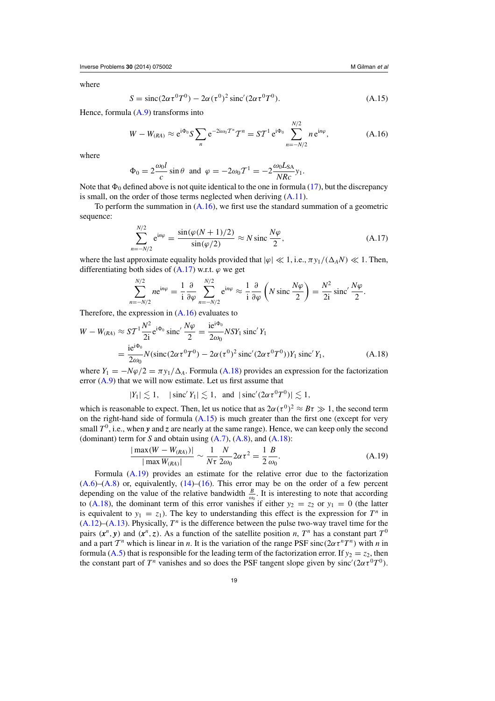<span id="page-18-0"></span>where

$$
S = \text{sinc}(2\alpha \tau^0 T^0) - 2\alpha (\tau^0)^2 \text{sinc}'(2\alpha \tau^0 T^0). \tag{A.15}
$$

Hence, formula  $(A.9)$  transforms into

$$
W - W_{(RA)} \approx e^{i\Phi_0} S \sum_n e^{-2i\omega_0 T^n} T^n = S T^1 e^{i\Phi_0} \sum_{n=-N/2}^{N/2} n e^{in\varphi}, \tag{A.16}
$$

where

$$
\Phi_0 = 2 \frac{\omega_0 l}{c} \sin \theta \text{ and } \varphi = -2\omega_0 T^1 = -2 \frac{\omega_0 L_{SA}}{N R c} y_1.
$$

Note that  $\Phi_0$  defined above is not quite identical to the one in formula [\(17\)](#page-4-0), but the discrepancy is small, on the order of those terms neglected when deriving  $(A.11)$ .

To perform the summation in  $(A.16)$ , we first use the standard summation of a geometric sequence:

$$
\sum_{n=-N/2}^{N/2} e^{in\varphi} = \frac{\sin(\varphi(N+1)/2)}{\sin(\varphi/2)} \approx N \operatorname{sinc} \frac{N\varphi}{2},\tag{A.17}
$$

where the last approximate equality holds provided that  $|\varphi| \ll 1$ , i.e.,  $\pi y_1/(\Delta_A N) \ll 1$ . Then, differentiating both sides of  $(A.17)$  w.r.t.  $\varphi$  we get

$$
\sum_{n=-N/2}^{N/2} n e^{in\varphi} = \frac{1}{i} \frac{\partial}{\partial \varphi} \sum_{n=-N/2}^{N/2} e^{in\varphi} \approx \frac{1}{i} \frac{\partial}{\partial \varphi} \left( N \operatorname{sinc} \frac{N\varphi}{2} \right) = \frac{N^2}{2i} \operatorname{sinc}' \frac{N\varphi}{2}.
$$

Therefore, the expression in (A.16) evaluates to

*n*=−*N*/2

$$
W - W_{(RA)} \approx ST^{1} \frac{N^{2}}{2i} e^{i\Phi_{0}} \operatorname{sinc}' \frac{N\varphi}{2} = \frac{i e^{i\Phi_{0}}}{2\omega_{0}} NSY_{1} \operatorname{sinc}' Y_{1}
$$
  
= 
$$
\frac{i e^{i\Phi_{0}}}{2\omega_{0}} N (\operatorname{sinc}(2\alpha \tau^{0} T^{0}) - 2\alpha (\tau^{0})^{2} \operatorname{sinc}'(2\alpha \tau^{0} T^{0})) Y_{1} \operatorname{sinc}' Y_{1},
$$
(A.18)

where  $Y_1 = -N\varphi/2 = \pi y_1/\Delta_A$ . Formula (A.18) provides an expression for the factorization error  $(A.9)$  that we will now estimate. Let us first assume that

$$
|Y_1| \lesssim 1, \quad |\operatorname{sinc}' Y_1| \lesssim 1, \text{ and } |\operatorname{sinc}' (2\alpha \tau^0 T^0)| \lesssim 1,
$$

which is reasonable to expect. Then, let us notice that as  $2\alpha(\tau^0)^2 \approx B\tau \gg 1$ , the second term on the right-hand side of formula  $(A.15)$  is much greater than the first one (except for very small  $T^0$ , i.e., when *y* and *z* are nearly at the same range). Hence, we can keep only the second (dominant) term for *S* and obtain using [\(A.7\)](#page-17-0), [\(A.8\)](#page-17-0), and (A.18):

$$
\frac{|\max(W - W_{(RA)})|}{|\max W_{(RA)}|} \sim \frac{1}{N\tau} \frac{N}{2\omega_0} 2\alpha \tau^2 = \frac{1}{2} \frac{B}{\omega_0}.
$$
 (A.19)

Formula (A.19) provides an estimate for the relative error due to the factorization  $(A.6)$ – $(A.8)$  or, equivalently,  $(14)$ – $(16)$ . This error may be on the order of a few percent depending on the value of the relative bandwidth  $\frac{B}{\omega_0}$ . It is interesting to note that according to (A.18), the dominant term of this error vanishes if either  $y_2 = z_2$  or  $y_1 = 0$  (the latter is equivalent to  $y_1 = z_1$ ). The key to understanding this effect is the expression for  $T^n$  in  $(A.12)$ – $(A.13)$ . Physically,  $T<sup>n</sup>$  is the difference between the pulse two-way travel time for the pairs  $(x^n, y)$  and  $(x^n, z)$ . As a function of the satellite position *n*,  $T^n$  has a constant part  $T^0$ and a part  $T^n$  which is linear in *n*. It is the variation of the range PSF sinc( $2\alpha \tau^n T^n$ ) with *n* in formula [\(A.5\)](#page-16-0) that is responsible for the leading term of the factorization error. If  $y_2 = z_2$ , then the constant part of  $T^n$  vanishes and so does the PSF tangent slope given by sinc'( $2\alpha \tau^0 T^0$ ).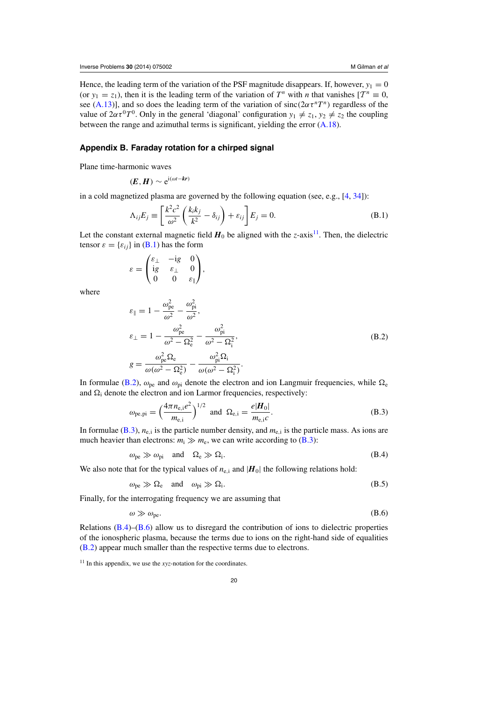<span id="page-19-0"></span>Hence, the leading term of the variation of the PSF magnitude disappears. If, however,  $y_1 = 0$ (or  $y_1 = z_1$ ), then it is the leading term of the variation of  $T^n$  with *n* that vanishes  $[T^n \equiv 0,$ see [\(A.13\)](#page-17-0)], and so does the leading term of the variation of sinc( $2\alpha \tau^{n}T^{n}$ ) regardless of the value of  $2\alpha \tau^0 T^0$ . Only in the general 'diagonal' configuration  $y_1 \neq z_1$ ,  $y_2 \neq z_2$  the coupling between the range and azimuthal terms is significant, yielding the error [\(A.18\)](#page-18-0).

## **Appendix B. Faraday rotation for a chirped signal**

Plane time-harmonic waves

$$
(\boldsymbol{E},\boldsymbol{H})\sim e^{i(\omega t-\boldsymbol{k}\boldsymbol{r})}
$$

in a cold magnetized plasma are governed by the following equation (see, e.g., [\[4](#page-25-0), [34](#page-26-0)]):

$$
\Lambda_{ij}E_j \equiv \left[\frac{k^2c^2}{\omega^2}\left(\frac{k_ik_j}{k^2} - \delta_{ij}\right) + \varepsilon_{ij}\right]E_j = 0.
$$
\n(B.1)

Let the constant external magnetic field  $H_0$  be aligned with the *z*-axis<sup>11</sup>. Then, the dielectric tensor  $\varepsilon = {\varepsilon_{ii}}$  in (B.1) has the form

$$
\varepsilon = \begin{pmatrix} \varepsilon_\perp & -\mathrm{i} g & 0 \\ \mathrm{i} g & \varepsilon_\perp & 0 \\ 0 & 0 & \varepsilon_\parallel \end{pmatrix},
$$

where

$$
\varepsilon_{\parallel} = 1 - \frac{\omega_{\text{pe}}^2}{\omega^2} - \frac{\omega_{\text{pi}}^2}{\omega^2},
$$
\n
$$
\varepsilon_{\perp} = 1 - \frac{\omega_{\text{pe}}^2}{\omega^2 - \Omega_{\text{e}}^2} - \frac{\omega_{\text{pi}}^2}{\omega^2 - \Omega_{\text{i}}^2},
$$
\n
$$
g = \frac{\omega_{\text{pe}}^2 \Omega_{\text{e}}}{\omega(\omega^2 - \Omega_{\text{e}}^2)} - \frac{\omega_{\text{pi}}^2 \Omega_{\text{i}}}{\omega(\omega^2 - \Omega_{\text{i}}^2)}.
$$
\n(B.2)

In formulae (B.2),  $\omega_{\rm pe}$  and  $\omega_{\rm pi}$  denote the electron and ion Langmuir frequencies, while  $\Omega_{\rm e}$ and  $\Omega_i$  denote the electron and ion Larmor frequencies, respectively:

$$
\omega_{\text{pe,pi}} = \left(\frac{4\pi n_{\text{e,i}}e^2}{m_{\text{e,i}}}\right)^{1/2} \text{ and } \Omega_{\text{e,i}} = \frac{e|\mathbf{H}_0|}{m_{\text{e,i}}c}.
$$
 (B.3)

In formulae  $(B.3)$ ,  $n_{e,i}$  is the particle number density, and  $m_{e,i}$  is the particle mass. As ions are much heavier than electrons:  $m_i \gg m_e$ , we can write according to (B.3):

$$
\omega_{\rm pe} \gg \omega_{\rm pi} \quad \text{and} \quad \Omega_{\rm e} \gg \Omega_{\rm i}. \tag{B.4}
$$

We also note that for the typical values of  $n_{e,i}$  and  $|H_0|$  the following relations hold:

$$
\omega_{\rm pe} \gg \Omega_{\rm e} \quad \text{and} \quad \omega_{\rm pi} \gg \Omega_{\rm i}. \tag{B.5}
$$

Finally, for the interrogating frequency we are assuming that

$$
\omega \gg \omega_{\rm pe}.\tag{B.6}
$$

Relations  $(B.4)$ – $(B.6)$  allow us to disregard the contribution of ions to dielectric properties of the ionospheric plasma, because the terms due to ions on the right-hand side of equalities (B.2) appear much smaller than the respective terms due to electrons.

<sup>&</sup>lt;sup>11</sup> In this appendix, we use the *xyz*-notation for the coordinates.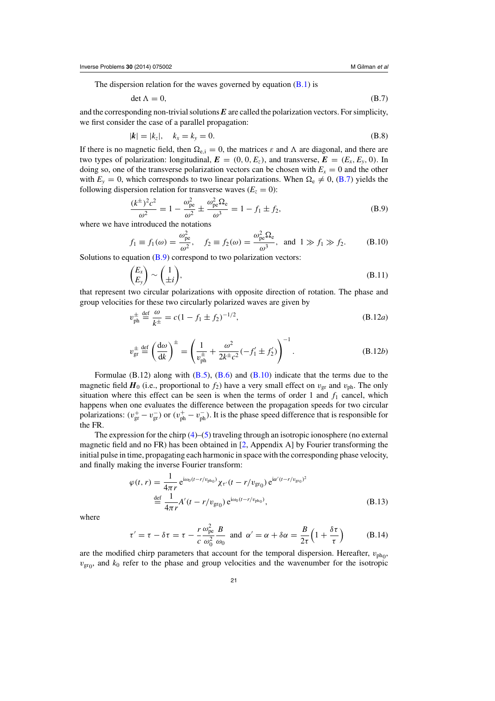<span id="page-20-0"></span>The dispersion relation for the waves governed by equation  $(B.1)$  is

$$
\det \Lambda = 0,\tag{B.7}
$$

and the corresponding non-trivial solutions *E* are called the polarization vectors. For simplicity, we first consider the case of a parallel propagation:

$$
|\mathbf{k}| = |k_z|, \quad k_x = k_y = 0. \tag{B.8}
$$

If there is no magnetic field, then  $\Omega_{e,i} = 0$ , the matrices  $\varepsilon$  and  $\Lambda$  are diagonal, and there are two types of polarization: longitudinal,  $\mathbf{E} = (0, 0, E_z)$ , and transverse,  $\mathbf{E} = (E_x, E_y, 0)$ . In doing so, one of the transverse polarization vectors can be chosen with  $E_x = 0$  and the other with  $E_y = 0$ , which corresponds to two linear polarizations. When  $\Omega_e \neq 0$ , (B.7) yields the following dispersion relation for transverse waves  $(E_z = 0)$ :

$$
\frac{(k^{\pm})^2 c^2}{\omega^2} = 1 - \frac{\omega_{\text{pe}}^2}{\omega^2} \pm \frac{\omega_{\text{pe}}^2 \Omega_{\text{e}}}{\omega^3} = 1 - f_1 \pm f_2,\tag{B.9}
$$

where we have introduced the notations

$$
f_1 \equiv f_1(\omega) = \frac{\omega_{\text{pe}}^2}{\omega^2}
$$
,  $f_2 \equiv f_2(\omega) = \frac{\omega_{\text{pe}}^2 \Omega_{\text{e}}}{\omega^3}$ , and  $1 \gg f_1 \gg f_2$ . (B.10)

Solutions to equation  $(B.9)$  correspond to two polarization vectors:

$$
\begin{pmatrix} E_x \\ E_y \end{pmatrix} \sim \begin{pmatrix} 1 \\ \pm i \end{pmatrix},\tag{B.11}
$$

that represent two circular polarizations with opposite direction of rotation. The phase and group velocities for these two circularly polarized waves are given by

$$
v_{\rm ph}^{\pm} \stackrel{\rm def}{=} \frac{\omega}{k^{\pm}} = c(1 - f_1 \pm f_2)^{-1/2},
$$
\n(B.12*a*)

$$
v_{\rm gr}^{\pm} \stackrel{\rm def}{=} \left(\frac{\rm d}\omega}{\rm d}k\right)^{\pm} = \left(\frac{1}{v_{\rm ph}^{\pm}} + \frac{\omega^2}{2k^{\pm}c^2}(-f_1' \pm f_2')\right)^{-1}.\tag{B.12b}
$$

Formulae  $(B.12)$  along with  $(B.5)$ ,  $(B.6)$  and  $(B.10)$  indicate that the terms due to the magnetic field  $H_0$  (i.e., proportional to  $f_2$ ) have a very small effect on  $v_{\text{gr}}$  and  $v_{\text{ph}}$ . The only situation where this effect can be seen is when the terms of order 1 and  $f_1$  cancel, which happens when one evaluates the difference between the propagation speeds for two circular polarizations:  $(v_{\text{gr}}^+ - v_{\text{gr}}^-)$  or  $(v_{\text{ph}}^+ - v_{\text{ph}}^-)$ . It is the phase speed difference that is responsible for the FR.

The expression for the chirp [\(4\)](#page-2-0)–[\(5\)](#page-2-0) traveling through an isotropic ionosphere (no external magnetic field and no FR) has been obtained in [\[2,](#page-25-0) Appendix A] by Fourier transforming the initial pulse in time, propagating each harmonic in space with the corresponding phase velocity, and finally making the inverse Fourier transform:

$$
\varphi(t,r) = \frac{1}{4\pi r} e^{i\omega_0 (t - r/v_{\rm ph_0})} \chi_{\tau'}(t - r/v_{\rm gr_0}) e^{i\alpha'(t - r/v_{\rm gr_0})^2}
$$
  

$$
\stackrel{\text{def}}{=} \frac{1}{4\pi r} A'(t - r/v_{\rm gr_0}) e^{i\omega_0 (t - r/v_{\rm ph_0})}, \tag{B.13}
$$

where

$$
\tau' = \tau - \delta \tau = \tau - \frac{r}{c} \frac{\omega_{\text{pe}}^2}{\omega_0^2} \frac{B}{\omega_0} \text{ and } \alpha' = \alpha + \delta \alpha = \frac{B}{2\tau} \left( 1 + \frac{\delta \tau}{\tau} \right) \tag{B.14}
$$

are the modified chirp parameters that account for the temporal dispersion. Hereafter,  $v_{\text{pho}}$ ,  $v_{\text{gr}_0}$ , and  $k_0$  refer to the phase and group velocities and the wavenumber for the isotropic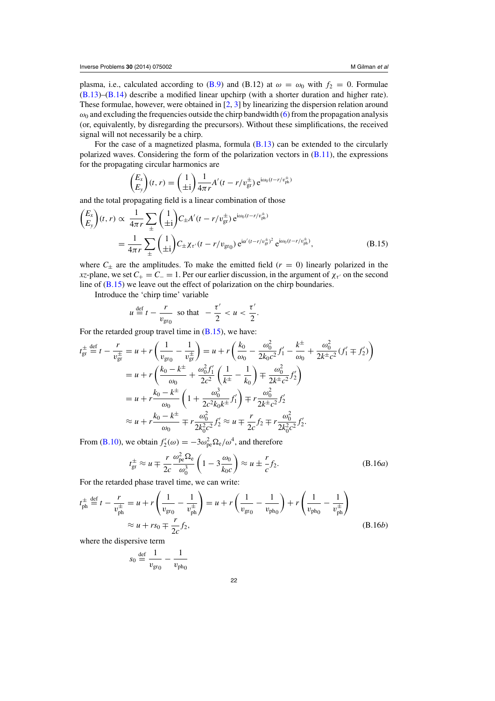<span id="page-21-0"></span>plasma, i.e., calculated according to [\(B.9\)](#page-20-0) and (B.12) at  $\omega = \omega_0$  with  $f_2 = 0$ . Formulae [\(B.13\)](#page-20-0)–[\(B.14\)](#page-20-0) describe a modified linear upchirp (with a shorter duration and higher rate). These formulae, however, were obtained in [\[2,](#page-25-0) [3](#page-25-0)] by linearizing the dispersion relation around  $\omega_0$  and excluding the frequencies outside the chirp bandwidth [\(6\)](#page-2-0) from the propagation analysis (or, equivalently, by disregarding the precursors). Without these simplifications, the received signal will not necessarily be a chirp.

For the case of a magnetized plasma, formula  $(B.13)$  can be extended to the circularly polarized waves. Considering the form of the polarization vectors in  $(B.11)$ , the expressions for the propagating circular harmonics are

$$
\begin{pmatrix} E_x \\ E_y \end{pmatrix} (t, r) = \begin{pmatrix} 1 \\ \pm i \end{pmatrix} \frac{1}{4\pi r} A'(t - r/v_{\text{gr}}^{\pm}) e^{i\omega_0 (t - r/v_{\text{ph}}^{\pm})}
$$

and the total propagating field is a linear combination of those

$$
\begin{split} \binom{E_x}{E_y}(t,r) &\propto \frac{1}{4\pi r} \sum_{\pm} \binom{1}{\pm i} C_{\pm} A'(t-r/v_{\rm gr}^{\pm}) e^{i\omega_0(t-r/v_{\rm ph}^{\pm})} \\ &= \frac{1}{4\pi r} \sum_{\pm} \binom{1}{\pm i} C_{\pm} \chi_{\tau'}(t-r/v_{\rm gr_0}) e^{i\alpha'(t-r/v_{\rm gr}^{\pm})^2} e^{i\omega_0(t-r/v_{\rm ph}^{\pm})}, \end{split} \tag{B.15}
$$

where  $C_{\pm}$  are the amplitudes. To make the emitted field ( $r = 0$ ) linearly polarized in the *xz*-plane, we set  $C_+ = C_- = 1$ . Per our earlier discussion, in the argument of  $\chi_{\tau}$  on the second line of (B.15) we leave out the effect of polarization on the chirp boundaries.

Introduce the 'chirp time' variable

$$
u \stackrel{\text{def}}{=} t - \frac{r}{v_{\text{gr}_0}} \quad \text{so that} \quad -\frac{\tau'}{2} < u < \frac{\tau'}{2}.
$$

For the retarded group travel time in  $(B.15)$ , we have:

$$
t_{\rm gr}^{\pm} \stackrel{\rm def}{=} t - \frac{r}{v_{\rm gr}^{\pm}} = u + r \left( \frac{1}{v_{\rm gr_0}} - \frac{1}{v_{\rm gr}^{\pm}} \right) = u + r \left( \frac{k_0}{\omega_0} - \frac{\omega_0^2}{2k_0 c^2} f_1' - \frac{k^{\pm}}{\omega_0} + \frac{\omega_0^2}{2k^{\pm} c^2} (f_1' \mp f_2') \right)
$$
  
\n
$$
= u + r \left( \frac{k_0 - k^{\pm}}{\omega_0} + \frac{\omega_0^2 f_1'}{2c^2} \left( \frac{1}{k^{\pm}} - \frac{1}{k_0} \right) \mp \frac{\omega_0^2}{2k^{\pm} c^2} f_2' \right)
$$
  
\n
$$
= u + r \frac{k_0 - k^{\pm}}{\omega_0} \left( 1 + \frac{\omega_0^3}{2c^2 k_0 k^{\pm}} f_1' \right) \mp r \frac{\omega_0^2}{2k^{\pm} c^2} f_2'
$$
  
\n
$$
\approx u + r \frac{k_0 - k^{\pm}}{\omega_0} \mp r \frac{\omega_0^2}{2k_0^2 c^2} f_2' \approx u \mp \frac{r}{2c} f_2 \mp r \frac{\omega_0^2}{2k_0^2 c^2} f_2'.
$$

From [\(B.10\)](#page-20-0), we obtain  $f'_{2}(\omega) = -3\omega_{pe}^{2} \Omega_{e}/\omega^{4}$ , and therefore

$$
t_{\rm gr}^{\pm} \approx u \mp \frac{r}{2c} \frac{\omega_{\rm pe}^2 \Omega_{\rm e}}{\omega_0^3} \left(1 - 3 \frac{\omega_0}{k_0 c}\right) \approx u \pm \frac{r}{c} f_2.
$$
 (B.16*a*)

For the retarded phase travel time, we can write:

$$
t_{\rm ph}^{\pm} \stackrel{\rm def}{=} t - \frac{r}{v_{\rm ph}^{\pm}} = u + r \left( \frac{1}{v_{\rm gr_0}} - \frac{1}{v_{\rm ph}^{\pm}} \right) = u + r \left( \frac{1}{v_{\rm gr_0}} - \frac{1}{v_{\rm ph_0}} \right) + r \left( \frac{1}{v_{\rm ph_0}} - \frac{1}{v_{\rm ph}^{\pm}} \right)
$$
  

$$
\approx u + rs_0 \mp \frac{r}{2c} f_2,
$$
 (B.16*b*)

where the dispersive term

$$
s_0 \stackrel{\text{def}}{=} \frac{1}{v_{\text{gr}_0}} - \frac{1}{v_{\text{ph}_0}}
$$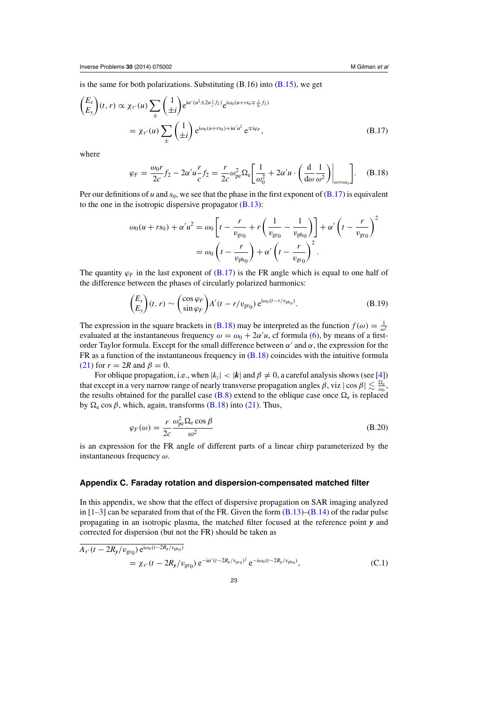<span id="page-22-0"></span>is the same for both polarizations. Substituting  $(B.16)$  into  $(B.15)$ , we get

$$
\begin{aligned}\n\left(\frac{E_x}{E_y}\right)(t, r) &\propto \chi_{\tau'}(u) \sum_{\pm} \left(\frac{1}{\pm i}\right) e^{i\alpha'(u^2 \pm 2u_{\epsilon}^r f_2)} e^{i\omega_0(u + rs_0 \mp \frac{r}{2\epsilon}f_2)} \\
&= \chi_{\tau'}(u) \sum_{\pm} \left(\frac{1}{\pm i}\right) e^{i\omega_0(u + rs_0) + i\alpha'u^2} e^{\mp i\varphi_F},\n\end{aligned} \tag{B.17}
$$

where

$$
\varphi_F = \frac{\omega_0 r}{2c} f_2 - 2\alpha' u \frac{r}{c} f_2 = \frac{r}{2c} \omega_{\text{pe}}^2 \Omega_{\text{e}} \left[ \frac{1}{\omega_0^2} + 2\alpha' u \cdot \left( \frac{d}{d\omega} \frac{1}{\omega^2} \right) \Big|_{\omega = \omega_0} \right]. \tag{B.18}
$$

Per our definitions of *u* and  $s_0$ , we see that the phase in the first exponent of  $(B.17)$  is equivalent to the one in the isotropic dispersive propagator [\(B.13\)](#page-20-0):

$$
\omega_0(u + rs_0) + \alpha' u^2 = \omega_0 \left[ t - \frac{r}{v_{\text{gr}_0}} + r \left( \frac{1}{v_{\text{gr}_0}} - \frac{1}{v_{\text{ph}_0}} \right) \right] + \alpha' \left( t - \frac{r}{v_{\text{gr}_0}} \right)^2
$$

$$
= \omega_0 \left( t - \frac{r}{v_{\text{ph}_0}} \right) + \alpha' \left( t - \frac{r}{v_{\text{gr}_0}} \right)^2.
$$

The quantity  $\varphi_F$  in the last exponent of (B.17) is the FR angle which is equal to one half of the difference between the phases of circularly polarized harmonics:

$$
\begin{pmatrix} E_x \\ E_y \end{pmatrix} (t, r) \sim \begin{pmatrix} \cos \varphi_F \\ \sin \varphi_F \end{pmatrix} A'(t - r/v_{\text{gr}_0}) e^{i\omega_0 (t - r/v_{\text{ph}_0})}.
$$
\n(B.19)

The expression in the square brackets in (B.18) may be interpreted as the function  $f(\omega) = \frac{1}{\omega^2}$ evaluated at the instantaneous frequency  $\omega = \omega_0 + 2\alpha' u$ , cf formula [\(6\)](#page-2-0), by means of a firstorder Taylor formula. Except for the small difference between  $\alpha'$  and  $\alpha$ , the expression for the FR as a function of the instantaneous frequency in (B.18) coincides with the intuitive formula [\(21\)](#page-6-0) for  $r = 2R$  and  $\beta = 0$ .

For oblique propagation, i.e., when  $|k_z| < |k|$  and  $\beta \neq 0$ , a careful analysis shows (see [\[4\]](#page-25-0)) that except in a very narrow range of nearly transverse propagation angles  $\beta$ , viz  $|\cos \beta| \lesssim \frac{\Omega_e}{\omega_0}$ , the results obtained for the parallel case [\(B.8\)](#page-20-0) extend to the oblique case once  $\Omega_e$  is replaced by  $\Omega_e \cos \beta$ , which, again, transforms (B.18) into [\(21\)](#page-6-0). Thus,

$$
\varphi_F(\omega) = \frac{r}{2c} \frac{\omega_{\rm pe}^2 \Omega_{\rm e} \cos \beta}{\omega^2}
$$
\n(B.20)

is an expression for the FR angle of different parts of a linear chirp parameterized by the instantaneous frequency  $\omega$ .

#### **Appendix C. Faraday rotation and dispersion-compensated matched filter**

In this appendix, we show that the effect of dispersive propagation on SAR imaging analyzed in  $[1-3]$  can be separated from that of the FR. Given the form  $(B.13)$ – $(B.14)$  of the radar pulse propagating in an isotropic plasma, the matched filter focused at the reference point *y* and corrected for dispersion (but not the FR) should be taken as

$$
\overline{A_{\tau'}(t - 2R_y/v_{\rm gr_0}) e^{i\omega_0(t - 2R_y/v_{\rm ph_0})}}
$$
\n
$$
= \chi_{\tau'}(t - 2R_y/v_{\rm gr_0}) e^{-i\alpha'(t - 2R_y/v_{\rm gr_0})^2} e^{-i\omega_0(t - 2R_y/v_{\rm ph_0})},
$$
\n(C.1)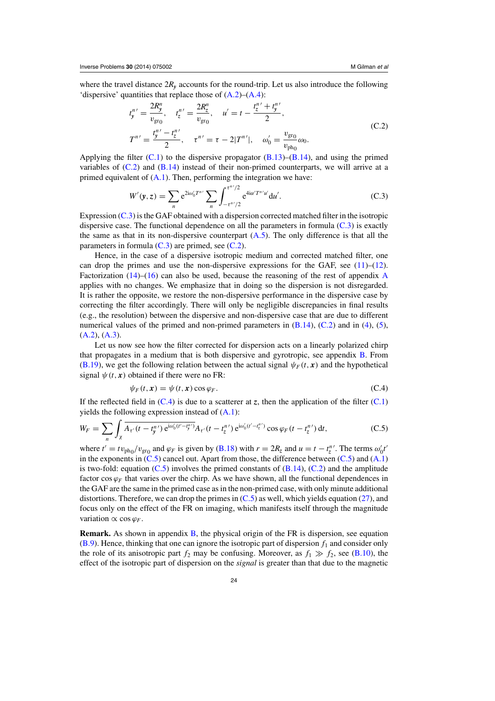<span id="page-23-0"></span>where the travel distance  $2R_y$  accounts for the round-trip. Let us also introduce the following 'dispersive' quantities that replace those of [\(A.2\)](#page-16-0)–[\(A.4\)](#page-16-0):

$$
t_{y}^{n'} = \frac{2R_{y}^{n}}{v_{\text{gro}}}, \quad t_{z}^{n'} = \frac{2R_{z}^{n}}{v_{\text{gro}}}, \quad u' = t - \frac{t_{z}^{n'} + t_{y}^{n'}}{2},
$$
  

$$
T^{n'} = \frac{t_{y}^{n'} - t_{z}^{n'}}{2}, \quad \tau^{n'} = \tau - 2|T^{n'}|, \quad \omega_{0}' = \frac{v_{\text{gro}}}{v_{\text{ph}_{0}}} \omega_{0}.
$$
 (C.2)

Applying the filter  $(C.1)$  to the dispersive propagator  $(B.13)$ – $(B.14)$ , and using the primed variables of  $(C.2)$  and  $(B.14)$  instead of their non-primed counterparts, we will arrive at a primed equivalent of  $(A.1)$ . Then, performing the integration we have:

$$
W'(\mathbf{y}, z) = \sum_{n} e^{2i\omega'_{0}T^{n'}} \sum_{n} \int_{-\tau^{n'}/2}^{\tau^{n'}/2} e^{4i\alpha' T^{n'} u'} du'.
$$
 (C.3)

Expression (C.3) is the GAF obtained with a dispersion corrected matched filter in the isotropic dispersive case. The functional dependence on all the parameters in formula  $(C.3)$  is exactly the same as that in its non-dispersive counterpart  $(A.5)$ . The only difference is that all the parameters in formula  $(C.3)$  are primed, see  $(C.2)$ .

Hence, in the case of a dispersive isotropic medium and corrected matched filter, one can drop the primes and use the non-dispersive expressions for the GAF, see  $(11)$ – $(12)$ . Factorization  $(14)$ – $(16)$  can also be used, because the reasoning of the rest of appendix [A](#page-16-0) applies with no changes. We emphasize that in doing so the dispersion is not disregarded. It is rather the opposite, we restore the non-dispersive performance in the dispersive case by correcting the filter accordingly. There will only be negligible discrepancies in final results (e.g., the resolution) between the dispersive and non-dispersive case that are due to different numerical values of the primed and non-primed parameters in  $(B.14)$ ,  $(C.2)$  and in  $(4)$ ,  $(5)$ ,  $(A.2), (A.3).$  $(A.2), (A.3).$  $(A.2), (A.3).$  $(A.2), (A.3).$ 

Let us now see how the filter corrected for dispersion acts on a linearly polarized chirp that propagates in a medium that is both dispersive and gyrotropic, see appendix [B.](#page-19-0) From [\(B.19\)](#page-22-0), we get the following relation between the actual signal  $\psi_F(t, x)$  and the hypothetical signal  $\psi(t, x)$  obtained if there were no FR:

$$
\psi_F(t, \mathbf{x}) = \psi(t, \mathbf{x}) \cos \varphi_F. \tag{C.4}
$$

If the reflected field in  $(C.4)$  is due to a scatterer at *z*, then the application of the filter  $(C.1)$ yields the following expression instead of  $(A.1)$ :

$$
W_F = \sum_{n} \int_{X} \overline{A_{\tau'}(t - t_y^{n'}) e^{i\omega_0'(t' - t_y^{n'})}} A_{\tau'}(t - t_z^{n'}) e^{i\omega_0'(t' - t_z^{n'})} \cos \varphi_F(t - t_z^{n'}) dt,
$$
 (C.5)

where  $t' = tv_{ph_0}/v_{gr_0}$  and  $\varphi_F$  is given by [\(B.18\)](#page-22-0) with  $r = 2R_z$  and  $u = t - t_z^{n'}$ . The terms  $\omega_0' t'$ in the exponents in  $(C.5)$  cancel out. Apart from those, the difference between  $(C.5)$  and  $(A.1)$ is two-fold: equation  $(C.5)$  involves the primed constants of  $(B.14)$ ,  $(C.2)$  and the amplitude factor cos  $\varphi_F$  that varies over the chirp. As we have shown, all the functional dependences in the GAF are the same in the primed case as in the non-primed case, with only minute additional distortions. Therefore, we can drop the primes in  $(C.5)$  as well, which yields equation [\(27\)](#page-7-0), and focus only on the effect of the FR on imaging, which manifests itself through the magnitude variation  $\propto$  cos  $\varphi$ <sub>*F*</sub>.

**Remark.** As shown in appendix **B**, the physical origin of the FR is dispersion, see equation  $(B.9)$ . Hence, thinking that one can ignore the isotropic part of dispersion  $f_1$  and consider only the role of its anisotropic part  $f_2$  may be confusing. Moreover, as  $f_1 \gg f_2$ , see [\(B.10\)](#page-20-0), the effect of the isotropic part of dispersion on the *signal* is greater than that due to the magnetic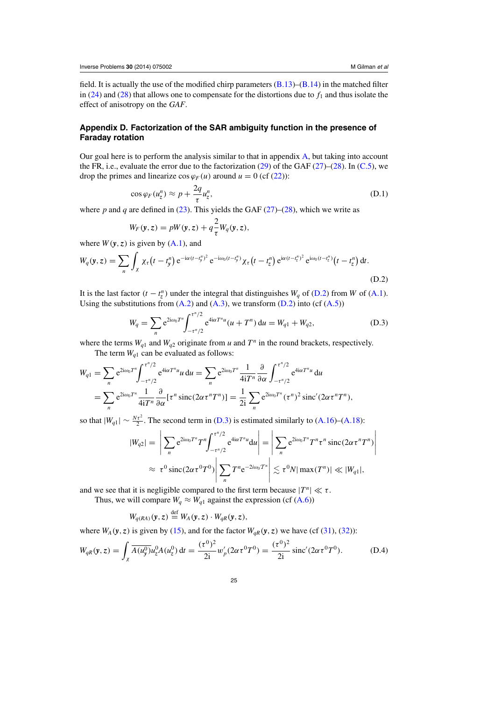## <span id="page-24-0"></span>**Appendix D. Factorization of the SAR ambiguity function in the presence of Faraday rotation**

Our goal here is to perform the analysis similar to that in appendix [A,](#page-16-0) but taking into account the FR, i.e., evaluate the error due to the factorization [\(29\)](#page-7-0) of the GAF [\(27\)](#page-7-0)–[\(28\)](#page-7-0). In [\(C.5\)](#page-23-0), we drop the primes and linearize  $\cos \varphi_F(u)$  around  $u = 0$  (cf [\(22\)](#page-6-0)):

$$
\cos \varphi_F(u_z^n) \approx p + \frac{2q}{\tau} u_z^n, \tag{D.1}
$$

where *p* and *q* are defined in [\(23\)](#page-6-0). This yields the GAF [\(27\)](#page-7-0)–[\(28\)](#page-7-0), which we write as

$$
W_F(\mathbf{y}, z) = pW(\mathbf{y}, z) + q\frac{2}{\tau}W_q(\mathbf{y}, z),
$$

where  $W(y, z)$  is given by  $(A.1)$ , and

$$
W_q(\mathbf{y}, z) = \sum_n \int_{\chi} \chi_r(t - t_y^n) e^{-i\alpha(t - t_y^n)^2} e^{-i\omega_0(t - t_y^n)} \chi_r(t - t_z^n) e^{i\alpha(t - t_z^n)^2} e^{i\omega_0(t - t_z^n)} (t - t_z^n) dt.
$$
\n(D.2)

It is the last factor  $(t - t^n_z)$  under the integral that distinguishes  $W_q$  of (D.2) from *W* of [\(A.1\)](#page-16-0). Using the substitutions from  $(A.2)$  and  $(A.3)$ , we transform  $(D.2)$  into  $(cf(A.5))$  $(cf(A.5))$  $(cf(A.5))$ 

$$
W_q = \sum_n e^{2i\omega_0 T^n} \int_{-\tau^n/2}^{\tau^n/2} e^{4i\alpha T^n u} (u + T^n) du = W_{q1} + W_{q2},
$$
 (D.3)

where the terms  $W_{q1}$  and  $W_{q2}$  originate from *u* and  $T^n$  in the round brackets, respectively.

The term  $W_{q1}$  can be evaluated as follows:

$$
W_{q1} = \sum_{n} e^{2i\omega_0 T^n} \int_{-\tau^n/2}^{\tau^n/2} e^{4i\alpha T^n u} u \, \mathrm{d}u = \sum_{n} e^{2i\omega_0 T^n} \frac{1}{4i T^n} \frac{\partial}{\partial \alpha} \int_{-\tau^n/2}^{\tau^n/2} e^{4i\alpha T^n u} \, \mathrm{d}u
$$
  
= 
$$
\sum_{n} e^{2i\omega_0 T^n} \frac{1}{4i T^n} \frac{\partial}{\partial \alpha} [\tau^n \operatorname{sinc}(2\alpha \tau^n T^n)] = \frac{1}{2i} \sum_{n} e^{2i\omega_0 T^n} (\tau^n)^2 \operatorname{sinc}(2\alpha \tau^n T^n),
$$

so that  $|W_{q1}| \sim \frac{N\tau^2}{2}$ . The second term in (D.3) is estimated similarly to [\(A.16\)](#page-18-0)–[\(A.18\)](#page-18-0):

$$
|W_{q2}| = \left| \sum_{n} e^{2i\omega_0 T^n} T^n \int_{-\tau^n/2}^{\tau^n/2} e^{4i\alpha T^n u} du \right| = \left| \sum_{n} e^{2i\omega_0 T^n} T^n \tau^n \operatorname{sinc}(2\alpha \tau^n T^n) \right|
$$
  

$$
\approx \tau^0 \operatorname{sinc}(2\alpha \tau^0 T^0) \left| \sum_{n} T^n e^{-2i\omega_0 T^n} \right| \lesssim \tau^0 N |\max(T^n)| \ll |W_{q1}|,
$$

and we see that it is negligible compared to the first term because  $|T^n| \ll \tau$ .

Thus, we will compare  $W_q \approx W_{q1}$  against the expression (cf [\(A.6\)](#page-17-0))

$$
W_{q(RA)}(y, z) \stackrel{\text{def}}{=} W_A(y, z) \cdot W_{qR}(y, z),
$$

where  $W_A(y, z)$  is given by [\(15\)](#page-4-0), and for the factor  $W_{qR}(y, z)$  we have (cf [\(31\)](#page-7-0), [\(32\)](#page-8-0)):

$$
W_{qR}(\mathbf{y}, z) = \int_{\chi} \overline{A(u_{\mathbf{y}}^{0})} u_{z}^{0} A(u_{z}^{0}) dt = \frac{(\tau^{0})^{2}}{2i} w_{p}' (2\alpha \tau^{0} T^{0}) = \frac{(\tau^{0})^{2}}{2i} \operatorname{sinc}' (2\alpha \tau^{0} T^{0}).
$$
 (D.4)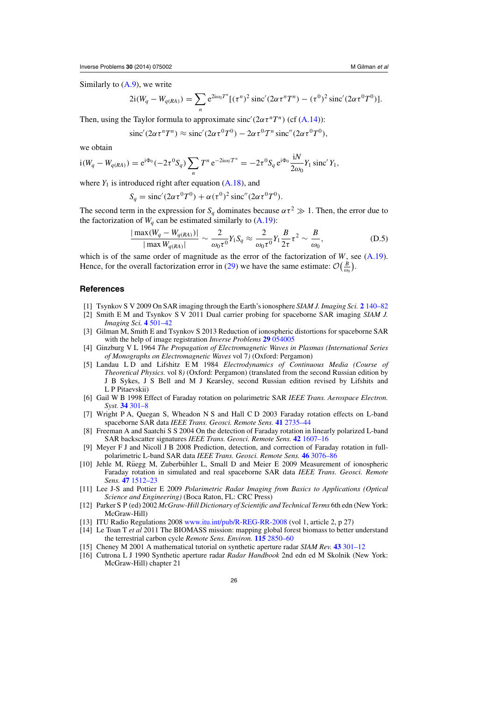<span id="page-25-0"></span>Similarly to  $(A.9)$ , we write

$$
2i(W_q - W_{q(RA)}) = \sum_n e^{2i\omega_0 T^n} [(\tau^n)^2 \operatorname{sinc}'(2\alpha \tau^n T^n) - (\tau^0)^2 \operatorname{sinc}'(2\alpha \tau^0 T^0)].
$$

Then, using the Taylor formula to approximate sinc'  $(2\alpha \tau^n T^n)$  (cf [\(A.14\)](#page-17-0)):

$$
\operatorname{sinc}'(2\alpha \tau^n T^n) \approx \operatorname{sinc}'(2\alpha \tau^0 T^0) - 2\alpha \tau^0 T^n \operatorname{sinc}''(2\alpha \tau^0 T^0),
$$

we obtain

$$
i(W_q - W_{q(RA)}) = e^{i\Phi_0} (-2\tau^0 S_q) \sum_n T^n e^{-2i\omega_0 T^n} = -2\tau^0 S_q e^{i\Phi_0} \frac{iN}{2\omega_0} Y_1 \operatorname{sinc}' Y_1,
$$

where  $Y_1$  is introduced right after equation  $(A.18)$ , and

$$
S_q = \text{sinc}'(2\alpha \tau^0 T^0) + \alpha (\tau^0)^2 \text{sinc}''(2\alpha \tau^0 T^0).
$$

The second term in the expression for  $S_q$  dominates because  $\alpha \tau^2 \gg 1$ . Then, the error due to the factorization of  $W_q$  can be estimated similarly to  $(A.19)$ :

$$
\frac{|\max(W_q - W_{q(RA)})|}{|\max W_{q(RA)}|} \sim \frac{2}{\omega_0 \tau^0} Y_1 S_q \approx \frac{2}{\omega_0 \tau^0} Y_1 \frac{B}{2\tau} \tau^2 \sim \frac{B}{\omega_0},
$$
(D.5)

which is of the same order of magnitude as the error of the factorization of *W*, see [\(A.19\)](#page-18-0). Hence, for the overall factorization error in [\(29\)](#page-7-0) we have the same estimate:  $\mathcal{O}(\frac{B}{\omega_0})$ .

#### **References**

- [1] Tsynkov S V 2009 On SAR imaging through the Earth's ionosphere *SIAM J. Imaging Sci.* **2** [140–82](http://dx.doi.org/10.1137/080721509)
- [2] Smith E M and Tsynkov S V 2011 Dual carrier probing for spaceborne SAR imaging *SIAM J. Imaging Sci.* **4** [501–42](http://dx.doi.org/10.1137/10078325X)
- [3] Gilman M, Smith E and Tsynkov S 2013 Reduction of ionospheric distortions for spaceborne SAR with the help of image registration *Inverse Problems* **29** [054005](http://dx.doi.org/10.1088/0266-5611/29/5/054005)
- [4] Ginzburg V L 1964 *The Propagation of Electromagnetic Waves in Plasmas (International Series of Monographs on Electromagnetic Waves* vol 7*)* (Oxford: Pergamon)
- [5] Landau L D and Lifshitz E M 1984 *Electrodynamics of Continuous Media (Course of Theoretical Physics.* vol 8*)* (Oxford: Pergamon) (translated from the second Russian edition by J B Sykes, J S Bell and M J Kearsley, second Russian edition revised by Lifshits and L P Pitaevskii)
- [6] Gail W B 1998 Effect of Faraday rotation on polarimetric SAR *IEEE Trans. Aerospace Electron. Syst.* **34** [301–8](http://dx.doi.org/10.1109/7.640287)
- [7] Wright P A, Quegan S, Wheadon N S and Hall C D 2003 Faraday rotation effects on L-band spaceborne SAR data *IEEE Trans. Geosci. Remote Sens.* **41** [2735–44](http://dx.doi.org/10.1109/TGRS.2003.815399)
- [8] Freeman A and Saatchi S S 2004 On the detection of Faraday rotation in linearly polarized L-band SAR backscatter signatures *IEEE Trans. Geosci. Remote Sens.* **42** [1607–16](http://dx.doi.org/10.1109/TGRS.2004.830163)
- [9] Meyer F J and Nicoll J B 2008 Prediction, detection, and correction of Faraday rotation in fullpolarimetric L-band SAR data *IEEE Trans. Geosci. Remote Sens.* **46** [3076–86](http://dx.doi.org/10.1109/TGRS.2008.2003002)
- $[10]$  Jehle M, Rüegg M, Zuberbühler L, Small D and Meier E 2009 Measurement of ionospheric Faraday rotation in simulated and real spaceborne SAR data *IEEE Trans. Geosci. Remote Sens.* **47** [1512–23](http://dx.doi.org/10.1109/TGRS.2008.2004710)
- [11] Lee J-S and Pottier E 2009 *Polarimetric Radar Imaging from Basics to Applications (Optical Science and Engineering)* (Boca Raton, FL: CRC Press[\)](http://dx.doi.org/10.1201/CRCOPTSCIENG)
- [12] Parker S P (ed) 2002 *McGraw-Hill Dictionary of Scientific and Technical Terms* 6th edn (New York: McGraw-Hill)
- [13] ITU Radio Regulations 2008 [www.itu.int/pub/R-REG-RR-2008](http://www.itu.int/pub/R-REG-RR-2008) (vol 1, article 2, p 27)
- [14] Le Toan T *et al* 2011 The BIOMASS mission: mapping global forest biomass to better understand the terrestrial carbon cycle *Remote Sens. Environ.* **115** [2850–60](http://dx.doi.org/10.1016/j.rse.2011.03.020)
- [15] Cheney M 2001 A mathematical tutorial on synthetic aperture radar *SIAM Rev.* **43** [301–12](http://dx.doi.org/10.1137/S0036144500368859)
- [16] Cutrona L J 1990 Synthetic aperture radar *Radar Handbook* 2nd edn ed M Skolnik (New York: McGraw-Hill) chapter 21